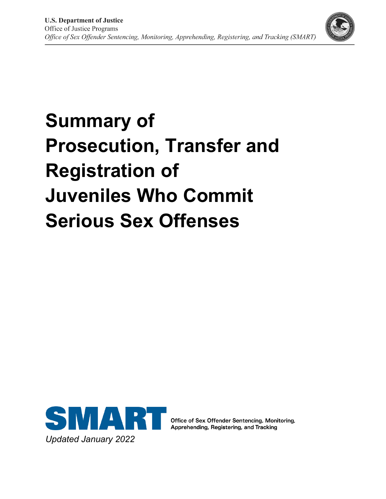

# **Summary of Prosecution, Transfer and Registration of Juveniles Who Commit Serious Sex Offenses**



Office of Sex Offender Sentencing, Monitoring, Apprehending, Registering, and Tracking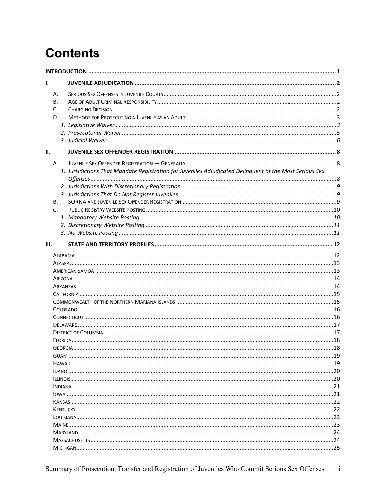# **Contents**

| I.           |                                                                                                         |  |
|--------------|---------------------------------------------------------------------------------------------------------|--|
| Α.           |                                                                                                         |  |
| В.           |                                                                                                         |  |
| C.           |                                                                                                         |  |
| D.           |                                                                                                         |  |
|              |                                                                                                         |  |
|              |                                                                                                         |  |
|              |                                                                                                         |  |
| II.          |                                                                                                         |  |
| Α.           |                                                                                                         |  |
|              | 1. Jurisdictions That Mandate Registration for Juveniles Adjudicated Delinquent of the Most Serious Sex |  |
|              |                                                                                                         |  |
|              |                                                                                                         |  |
| В.           |                                                                                                         |  |
| $\mathsf{C}$ |                                                                                                         |  |
|              |                                                                                                         |  |
|              |                                                                                                         |  |
|              |                                                                                                         |  |
| III.         |                                                                                                         |  |
|              |                                                                                                         |  |
|              |                                                                                                         |  |
|              |                                                                                                         |  |
|              |                                                                                                         |  |
|              |                                                                                                         |  |
|              |                                                                                                         |  |
|              |                                                                                                         |  |
|              |                                                                                                         |  |
|              |                                                                                                         |  |
|              |                                                                                                         |  |
|              |                                                                                                         |  |
|              |                                                                                                         |  |
|              |                                                                                                         |  |
|              |                                                                                                         |  |
|              |                                                                                                         |  |
|              |                                                                                                         |  |
|              |                                                                                                         |  |
|              |                                                                                                         |  |
|              |                                                                                                         |  |
|              |                                                                                                         |  |
|              |                                                                                                         |  |
|              |                                                                                                         |  |
|              |                                                                                                         |  |
|              |                                                                                                         |  |
|              |                                                                                                         |  |
|              |                                                                                                         |  |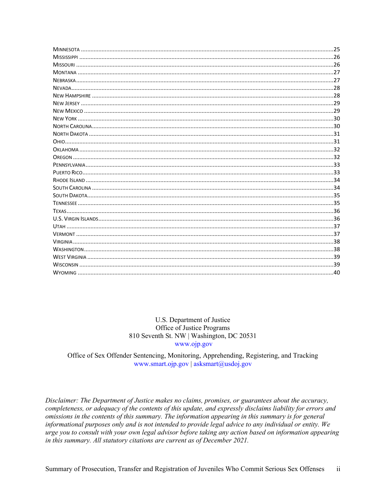| .25 |
|-----|
|     |
|     |
|     |
|     |
|     |
|     |
|     |
|     |
|     |
|     |
|     |
|     |
|     |
|     |
|     |
|     |
|     |
|     |
|     |
|     |
|     |
|     |
|     |
|     |
|     |
|     |
|     |
|     |
|     |

#### U.S. Department of Justice Office of Justice Programs 810 Seventh St. NW | Washington, DC 20531 www.ojp.gov

Office of Sex Offender Sentencing, Monitoring, Apprehending, Registering, and Tracking www.smart.ojp.gov | asksmart@usdoj.gov

Disclaimer: The Department of Justice makes no claims, promises, or guarantees about the accuracy, completeness, or adequacy of the contents of this update, and expressly disclaims liability for errors and omissions in the contents of this summary. The information appearing in this summary is for general informational purposes only and is not intended to provide legal advice to any individual or entity. We urge you to consult with your own legal advisor before taking any action based on information appearing in this summary. All statutory citations are current as of December 2021.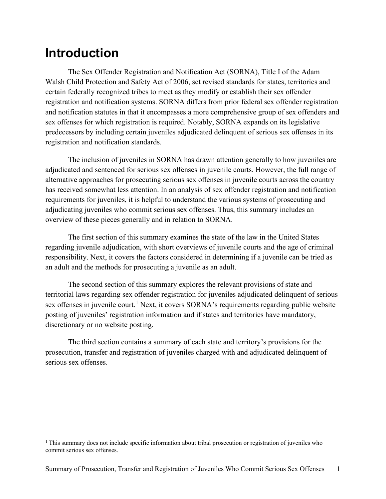# <span id="page-3-0"></span>**Introduction**

The Sex Offender Registration and Notification Act (SORNA), Title I of the Adam Walsh Child Protection and Safety Act of 2006, set revised standards for states, territories and certain federally recognized tribes to meet as they modify or establish their sex offender registration and notification systems. SORNA differs from prior federal sex offender registration and notification statutes in that it encompasses a more comprehensive group of sex offenders and sex offenses for which registration is required. Notably, SORNA expands on its legislative predecessors by including certain juveniles adjudicated delinquent of serious sex offenses in its registration and notification standards.

The inclusion of juveniles in SORNA has drawn attention generally to how juveniles are adjudicated and sentenced for serious sex offenses in juvenile courts. However, the full range of alternative approaches for prosecuting serious sex offenses in juvenile courts across the country has received somewhat less attention. In an analysis of sex offender registration and notification requirements for juveniles, it is helpful to understand the various systems of prosecuting and adjudicating juveniles who commit serious sex offenses. Thus, this summary includes an overview of these pieces generally and in relation to SORNA.

The first section of this summary examines the state of the law in the United States regarding juvenile adjudication, with short overviews of juvenile courts and the age of criminal responsibility. Next, it covers the factors considered in determining if a juvenile can be tried as an adult and the methods for prosecuting a juvenile as an adult.

The second section of this summary explores the relevant provisions of state and territorial laws regarding sex offender registration for juveniles adjudicated delinquent of serious sex offenses in juvenile court.<sup>[1](#page-3-1)</sup> Next, it covers SORNA's requirements regarding public website posting of juveniles' registration information and if states and territories have mandatory, discretionary or no website posting.

The third section contains a summary of each state and territory's provisions for the prosecution, transfer and registration of juveniles charged with and adjudicated delinquent of serious sex offenses.

<span id="page-3-1"></span><sup>&</sup>lt;sup>1</sup> This summary does not include specific information about tribal prosecution or registration of juveniles who commit serious sex offenses.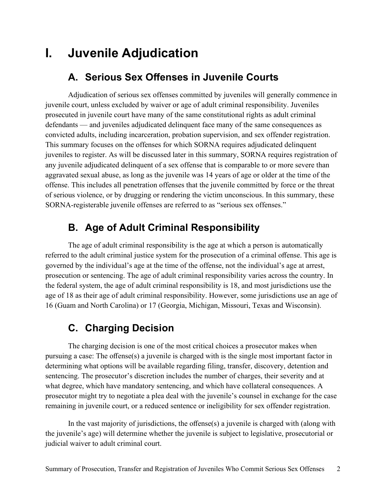# <span id="page-4-1"></span><span id="page-4-0"></span>**I. Juvenile Adjudication**

#### **A. Serious Sex Offenses in Juvenile Courts**

Adjudication of serious sex offenses committed by juveniles will generally commence in juvenile court, unless excluded by waiver or age of adult criminal responsibility. Juveniles prosecuted in juvenile court have many of the same constitutional rights as adult criminal defendants — and juveniles adjudicated delinquent face many of the same consequences as convicted adults, including incarceration, probation supervision, and sex offender registration. This summary focuses on the offenses for which SORNA requires adjudicated delinquent juveniles to register. As will be discussed later in this summary, SORNA requires registration of any juvenile adjudicated delinquent of a sex offense that is comparable to or more severe than aggravated sexual abuse, as long as the juvenile was 14 years of age or older at the time of the offense. This includes all penetration offenses that the juvenile committed by force or the threat of serious violence, or by drugging or rendering the victim unconscious. In this summary, these SORNA-registerable juvenile offenses are referred to as "serious sex offenses."

#### **B. Age of Adult Criminal Responsibility**

<span id="page-4-2"></span>The age of adult criminal responsibility is the age at which a person is automatically referred to the adult criminal justice system for the prosecution of a criminal offense. This age is governed by the individual's age at the time of the offense, not the individual's age at arrest, prosecution or sentencing. The age of adult criminal responsibility varies across the country. In the federal system, the age of adult criminal responsibility is 18, and most jurisdictions use the age of 18 as their age of adult criminal responsibility. However, some jurisdictions use an age of 16 (Guam and North Carolina) or 17 (Georgia, Michigan, Missouri, Texas and Wisconsin).

#### **C. Charging Decision**

<span id="page-4-3"></span>The charging decision is one of the most critical choices a prosecutor makes when pursuing a case: The offense(s) a juvenile is charged with is the single most important factor in determining what options will be available regarding filing, transfer, discovery, detention and sentencing. The prosecutor's discretion includes the number of charges, their severity and at what degree, which have mandatory sentencing, and which have collateral consequences. A prosecutor might try to negotiate a plea deal with the juvenile's counsel in exchange for the case remaining in juvenile court, or a reduced sentence or ineligibility for sex offender registration.

In the vast majority of jurisdictions, the offense(s) a juvenile is charged with (along with the juvenile's age) will determine whether the juvenile is subject to legislative, prosecutorial or judicial waiver to adult criminal court.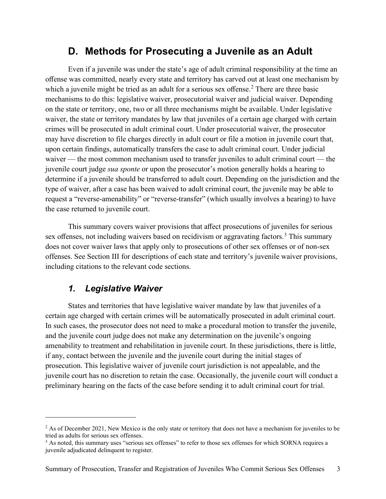#### **D. Methods for Prosecuting a Juvenile as an Adult**

<span id="page-5-0"></span>Even if a juvenile was under the state's age of adult criminal responsibility at the time an offense was committed, nearly every state and territory has carved out at least one mechanism by which a juvenile might be tried as an adult for a serious sex offense.<sup>[2](#page-5-2)</sup> There are three basic mechanisms to do this: legislative waiver, prosecutorial waiver and judicial waiver. Depending on the state or territory, one, two or all three mechanisms might be available. Under legislative waiver, the state or territory mandates by law that juveniles of a certain age charged with certain crimes will be prosecuted in adult criminal court. Under prosecutorial waiver, the prosecutor may have discretion to file charges directly in adult court or file a motion in juvenile court that, upon certain findings, automatically transfers the case to adult criminal court. Under judicial waiver — the most common mechanism used to transfer juveniles to adult criminal court — the juvenile court judge *sua sponte* or upon the prosecutor's motion generally holds a hearing to determine if a juvenile should be transferred to adult court. Depending on the jurisdiction and the type of waiver, after a case has been waived to adult criminal court, the juvenile may be able to request a "reverse-amenability" or "reverse-transfer" (which usually involves a hearing) to have the case returned to juvenile court.

This summary covers waiver provisions that affect prosecutions of juveniles for serious sex offenses, not including waivers based on recidivism or aggravating factors.<sup>[3](#page-5-3)</sup> This summary does not cover waiver laws that apply only to prosecutions of other sex offenses or of non-sex offenses. See Section III for descriptions of each state and territory's juvenile waiver provisions, including citations to the relevant code sections.

#### *1. Legislative Waiver*

<span id="page-5-1"></span>States and territories that have legislative waiver mandate by law that juveniles of a certain age charged with certain crimes will be automatically prosecuted in adult criminal court. In such cases, the prosecutor does not need to make a procedural motion to transfer the juvenile, and the juvenile court judge does not make any determination on the juvenile's ongoing amenability to treatment and rehabilitation in juvenile court. In these jurisdictions, there is little, if any, contact between the juvenile and the juvenile court during the initial stages of prosecution. This legislative waiver of juvenile court jurisdiction is not appealable, and the juvenile court has no discretion to retain the case. Occasionally, the juvenile court will conduct a preliminary hearing on the facts of the case before sending it to adult criminal court for trial.

<span id="page-5-2"></span><sup>&</sup>lt;sup>2</sup> As of December 2021, New Mexico is the only state or territory that does not have a mechanism for juveniles to be tried as adults for serious sex offenses.

<span id="page-5-3"></span><sup>&</sup>lt;sup>3</sup> As noted, this summary uses "serious sex offenses" to refer to those sex offenses for which SORNA requires a juvenile adjudicated delinquent to register.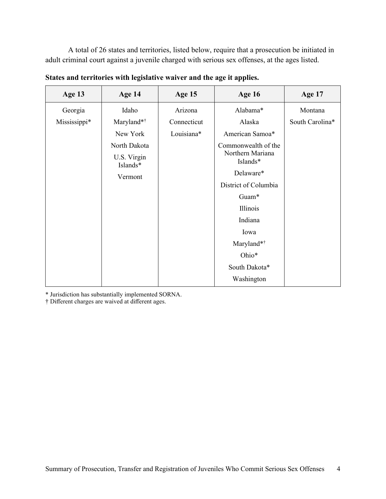A total of 26 states and territories, listed below, require that a prosecution be initiated in adult criminal court against a juvenile charged with serious sex offenses, at the ages listed.

| Age 13       | Age 14                  | Age 15      | <b>Age 16</b>                | Age 17          |
|--------------|-------------------------|-------------|------------------------------|-----------------|
| Georgia      | Idaho                   | Arizona     | Alabama*                     | Montana         |
| Mississippi* | Maryland*†              | Connecticut | Alaska                       | South Carolina* |
|              | New York                | Louisiana*  | American Samoa*              |                 |
|              | North Dakota            |             | Commonwealth of the          |                 |
|              | U.S. Virgin<br>Islands* |             | Northern Mariana<br>Islands* |                 |
|              | Vermont                 |             | Delaware*                    |                 |
|              |                         |             | District of Columbia         |                 |
|              |                         |             | Guam*                        |                 |
|              |                         |             | Illinois                     |                 |
|              |                         |             | Indiana                      |                 |
|              |                         |             | Iowa                         |                 |
|              |                         |             | Maryland*†                   |                 |
|              |                         |             | Ohio*                        |                 |
|              |                         |             | South Dakota*                |                 |
|              |                         |             | Washington                   |                 |

**States and territories with legislative waiver and the age it applies.**

\* Jurisdiction has substantially implemented SORNA.

† Different charges are waived at different ages.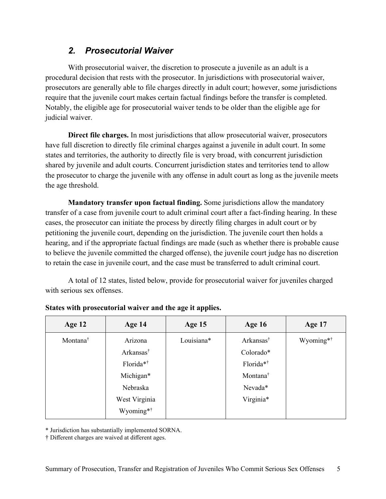#### *2. Prosecutorial Waiver*

<span id="page-7-0"></span>With prosecutorial waiver, the discretion to prosecute a juvenile as an adult is a procedural decision that rests with the prosecutor. In jurisdictions with prosecutorial waiver, prosecutors are generally able to file charges directly in adult court; however, some jurisdictions require that the juvenile court makes certain factual findings before the transfer is completed. Notably, the eligible age for prosecutorial waiver tends to be older than the eligible age for judicial waiver.

**Direct file charges.** In most jurisdictions that allow prosecutorial waiver, prosecutors have full discretion to directly file criminal charges against a juvenile in adult court. In some states and territories, the authority to directly file is very broad, with concurrent jurisdiction shared by juvenile and adult courts. Concurrent jurisdiction states and territories tend to allow the prosecutor to charge the juvenile with any offense in adult court as long as the juvenile meets the age threshold.

**Mandatory transfer upon factual finding.** Some jurisdictions allow the mandatory transfer of a case from juvenile court to adult criminal court after a fact-finding hearing. In these cases, the prosecutor can initiate the process by directly filing charges in adult court or by petitioning the juvenile court, depending on the jurisdiction. The juvenile court then holds a hearing, and if the appropriate factual findings are made (such as whether there is probable cause to believe the juvenile committed the charged offense), the juvenile court judge has no discretion to retain the case in juvenile court, and the case must be transferred to adult criminal court.

A total of 12 states, listed below, provide for prosecutorial waiver for juveniles charged with serious sex offenses.

| Age $12$             | Age 14                | Age 15     | <b>Age 16</b>         | Age 17                |
|----------------------|-----------------------|------------|-----------------------|-----------------------|
| Montana <sup>†</sup> | Arizona               | Louisiana* | Arkansas <sup>†</sup> | Wyoming* <sup>†</sup> |
|                      | Arkansas <sup>†</sup> |            | Colorado*             |                       |
|                      | Florida* <sup>†</sup> |            | Florida* <sup>†</sup> |                       |
|                      | Michigan*             |            | Montana <sup>†</sup>  |                       |
|                      | Nebraska              |            | Nevada*               |                       |
|                      | West Virginia         |            | Virginia*             |                       |
|                      | Wyoming* <sup>†</sup> |            |                       |                       |
|                      |                       |            |                       |                       |

#### **States with prosecutorial waiver and the age it applies.**

\* Jurisdiction has substantially implemented SORNA.

† Different charges are waived at different ages.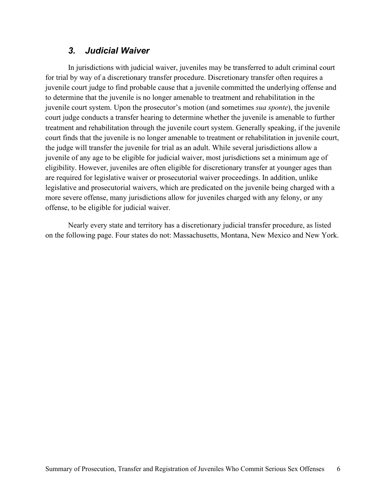#### *3. Judicial Waiver*

<span id="page-8-0"></span>In jurisdictions with judicial waiver, juveniles may be transferred to adult criminal court for trial by way of a discretionary transfer procedure. Discretionary transfer often requires a juvenile court judge to find probable cause that a juvenile committed the underlying offense and to determine that the juvenile is no longer amenable to treatment and rehabilitation in the juvenile court system. Upon the prosecutor's motion (and sometimes *sua sponte*), the juvenile court judge conducts a transfer hearing to determine whether the juvenile is amenable to further treatment and rehabilitation through the juvenile court system. Generally speaking, if the juvenile court finds that the juvenile is no longer amenable to treatment or rehabilitation in juvenile court, the judge will transfer the juvenile for trial as an adult. While several jurisdictions allow a juvenile of any age to be eligible for judicial waiver, most jurisdictions set a minimum age of eligibility. However, juveniles are often eligible for discretionary transfer at younger ages than are required for legislative waiver or prosecutorial waiver proceedings. In addition, unlike legislative and prosecutorial waivers, which are predicated on the juvenile being charged with a more severe offense, many jurisdictions allow for juveniles charged with any felony, or any offense, to be eligible for judicial waiver.

Nearly every state and territory has a discretionary judicial transfer procedure, as listed on the following page. Four states do not: Massachusetts, Montana, New Mexico and New York.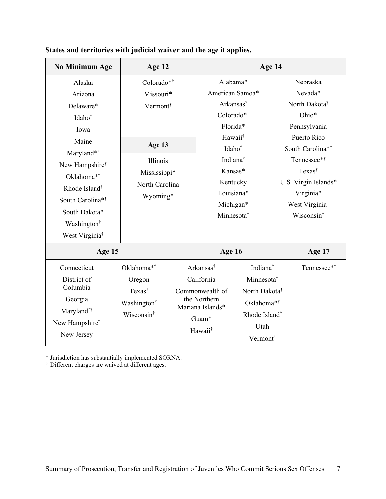| <b>No Minimum Age</b>        | Age 12                  |  |                                  | Age 14                    |                            |
|------------------------------|-------------------------|--|----------------------------------|---------------------------|----------------------------|
| Alaska                       | Colorado*†              |  | Alabama*                         |                           | Nebraska                   |
| Arizona                      | Missouri*               |  | American Samoa*                  |                           | Nevada*                    |
| Delaware*                    | Vermont                 |  | Arkansas <sup>†</sup>            |                           | North Dakota <sup>†</sup>  |
| Idaho <sup>†</sup>           |                         |  | Colorado*†                       |                           | Ohio*                      |
| Iowa                         |                         |  | Florida*                         |                           | Pennsylvania               |
| Maine                        |                         |  | Hawaii <sup>†</sup>              |                           | Puerto Rico                |
| Maryland*†                   | Age 13                  |  | Idaho <sup>†</sup>               |                           | South Carolina*†           |
| New Hampshire <sup>†</sup>   | Illinois                |  | Indiana <sup>†</sup>             |                           | Tennessee* <sup>†</sup>    |
| Oklahoma* <sup>†</sup>       | Mississippi*            |  | Kansas*                          |                           | Texas <sup>†</sup>         |
| Rhode Island <sup>†</sup>    | North Carolina          |  | Kentucky                         |                           | U.S. Virgin Islands*       |
| South Carolina* <sup>†</sup> | Wyoming*                |  | Louisiana*                       |                           | Virginia*                  |
| South Dakota*                |                         |  | Michigan*                        |                           | West Virginia <sup>†</sup> |
| Washington <sup>†</sup>      |                         |  | Minnesota <sup>†</sup>           |                           | Wisconsin <sup>†</sup>     |
| West Virginia <sup>†</sup>   |                         |  |                                  |                           |                            |
|                              |                         |  |                                  |                           |                            |
| Age 15                       |                         |  | Age 16                           |                           | Age 17                     |
| Connecticut                  | Oklahoma*†              |  | Arkansas <sup>†</sup>            | Indiana <sup>†</sup>      | Tennessee*†                |
| District of                  | Oregon                  |  | California                       | Minnesota <sup>†</sup>    |                            |
| Columbia                     | Texas <sup>†</sup>      |  | Commonwealth of                  | North Dakota <sup>†</sup> |                            |
| Georgia                      | Washington <sup>†</sup> |  | the Northern<br>Mariana Islands* | Oklahoma*†                |                            |
| Maryland*†                   | Wisconsin <sup>†</sup>  |  | Guam*                            | Rhode Island <sup>†</sup> |                            |
| New Hampshire <sup>†</sup>   |                         |  | Hawaii <sup>†</sup>              | Utah                      |                            |
| New Jersey                   |                         |  |                                  | Vermont <sup>†</sup>      |                            |

**States and territories with judicial waiver and the age it applies.** 

\* Jurisdiction has substantially implemented SORNA.

† Different charges are waived at different ages.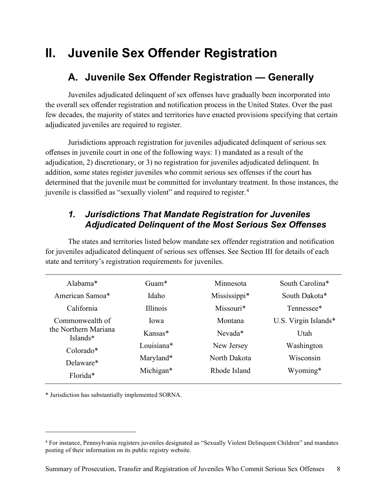# <span id="page-10-1"></span><span id="page-10-0"></span>**II. Juvenile Sex Offender Registration**

#### **A. Juvenile Sex Offender Registration — Generally**

Juveniles adjudicated delinquent of sex offenses have gradually been incorporated into the overall sex offender registration and notification process in the United States. Over the past few decades, the majority of states and territories have enacted provisions specifying that certain adjudicated juveniles are required to register.

Jurisdictions approach registration for juveniles adjudicated delinquent of serious sex offenses in juvenile court in one of the following ways: 1) mandated as a result of the adjudication, 2) discretionary, or 3) no registration for juveniles adjudicated delinquent. In addition, some states register juveniles who commit serious sex offenses if the court has determined that the juvenile must be committed for involuntary treatment. In those instances, the juvenile is classified as "sexually violent" and required to register.<sup>[4](#page-10-3)</sup>

#### <span id="page-10-2"></span>*1. Jurisdictions That Mandate Registration for Juveniles Adjudicated Delinquent of the Most Serious Sex Offenses*

The states and territories listed below mandate sex offender registration and notification for juveniles adjudicated delinquent of serious sex offenses. See Section III for details of each state and territory's registration requirements for juveniles.

| Alahama $*$                      | $G$ uam $*$  | Minnesota    | South Carolina*      |
|----------------------------------|--------------|--------------|----------------------|
| American Samoa*                  | Idaho.       | Mississippi* | South Dakota*        |
| California                       | Illinois     | Missouri*    | Tennessee*           |
| Commonwealth of                  | <b>I</b> owa | Montana      | U.S. Virgin Islands* |
| the Northern Mariana<br>Islands* | $K$ ansas*   | $N$ evada*   | Utah                 |
| $Colorado*$                      | Louisiana*   | New Jersey   | Washington           |
| Delaware*                        | Maryland*    | North Dakota | Wisconsin            |
| Florida*                         | Michigan*    | Rhode Island | Wyoming*             |
|                                  |              |              |                      |

\* Jurisdiction has substantially implemented SORNA.

<span id="page-10-3"></span><sup>4</sup> For instance, Pennsylvania registers juveniles designated as "Sexually Violent Delinquent Children" and mandates posting of their information on its public registry website.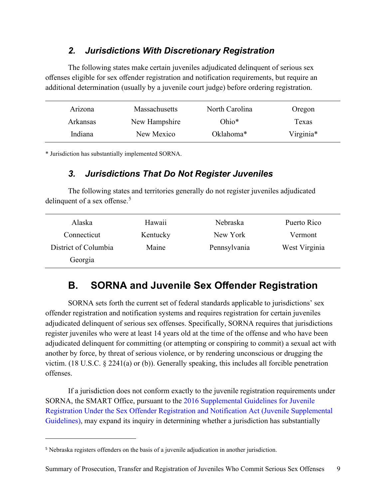#### *2. Jurisdictions With Discretionary Registration*

<span id="page-11-0"></span>The following states make certain juveniles adjudicated delinquent of serious sex offenses eligible for sex offender registration and notification requirements, but require an additional determination (usually by a juvenile court judge) before ordering registration.

| Arizona         | <b>Massachusetts</b> | North Carolina | Oregon    |
|-----------------|----------------------|----------------|-----------|
| <b>Arkansas</b> | New Hampshire        | $Ohio*$        | Texas     |
| Indiana         | New Mexico           | Oklahoma*      | Virginia* |

<span id="page-11-1"></span>\* Jurisdiction has substantially implemented SORNA.

#### *3. Jurisdictions That Do Not Register Juveniles*

The following states and territories generally do not register juveniles adjudicated delinquent of a sex offense.<sup>[5](#page-11-3)</sup>

| Alaska               | Hawaii   | Nebraska     | Puerto Rico   |
|----------------------|----------|--------------|---------------|
| Connecticut          | Kentucky | New York     | Vermont       |
| District of Columbia | Maine    | Pennsylvania | West Virginia |
| Georgia              |          |              |               |

#### <span id="page-11-2"></span>**B. SORNA and Juvenile Sex Offender Registration**

SORNA sets forth the current set of federal standards applicable to jurisdictions' sex offender registration and notification systems and requires registration for certain juveniles adjudicated delinquent of serious sex offenses. Specifically, SORNA requires that jurisdictions register juveniles who were at least 14 years old at the time of the offense and who have been adjudicated delinquent for committing (or attempting or conspiring to commit) a sexual act with another by force, by threat of serious violence, or by rendering unconscious or drugging the victim. (18 U.S.C. § 2241(a) or (b)). Generally speaking, this includes all forcible penetration offenses.

If a jurisdiction does not conform exactly to the juvenile registration requirements under SORNA, the SMART Office, pursuant to the [2016 Supplemental Guidelines for Juvenile](https://www.federalregister.gov/documents/2016/08/01/2016-18106/office-of-the-attorney-general-supplemental-guidelines-for-juvenile-registration-under-the-sex)  [Registration Under the Sex Offender Registration and Notification Act \(Juvenile Supplemental](https://www.federalregister.gov/documents/2016/08/01/2016-18106/office-of-the-attorney-general-supplemental-guidelines-for-juvenile-registration-under-the-sex)  [Guidelines\),](https://www.federalregister.gov/documents/2016/08/01/2016-18106/office-of-the-attorney-general-supplemental-guidelines-for-juvenile-registration-under-the-sex) may expand its inquiry in determining whether a jurisdiction has substantially

<span id="page-11-3"></span><sup>&</sup>lt;sup>5</sup> Nebraska registers offenders on the basis of a juvenile adjudication in another jurisdiction.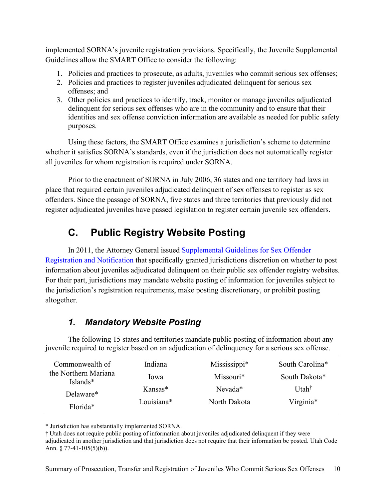implemented SORNA's juvenile registration provisions. Specifically, the Juvenile Supplemental Guidelines allow the SMART Office to consider the following:

- 1. Policies and practices to prosecute, as adults, juveniles who commit serious sex offenses;
- 2. Policies and practices to register juveniles adjudicated delinquent for serious sex offenses; and
- 3. Other policies and practices to identify, track, monitor or manage juveniles adjudicated delinquent for serious sex offenses who are in the community and to ensure that their identities and sex offense conviction information are available as needed for public safety purposes.

Using these factors, the SMART Office examines a jurisdiction's scheme to determine whether it satisfies SORNA's standards, even if the jurisdiction does not automatically register all juveniles for whom registration is required under SORNA.

Prior to the enactment of SORNA in July 2006, 36 states and one territory had laws in place that required certain juveniles adjudicated delinquent of sex offenses to register as sex offenders. Since the passage of SORNA, five states and three territories that previously did not register adjudicated juveniles have passed legislation to register certain juvenile sex offenders.

## **C. Public Registry Website Posting**

<span id="page-12-0"></span>In 2011, the Attorney General issued [Supplemental Guidelines for Sex Offender](https://www.federalregister.gov/documents/2011/01/11/2011-505/supplemental-guidelines-for-sex-offender-registration-and-notification)  [Registration and Notification](https://www.federalregister.gov/documents/2011/01/11/2011-505/supplemental-guidelines-for-sex-offender-registration-and-notification) that specifically granted jurisdictions discretion on whether to post information about juveniles adjudicated delinquent on their public sex offender registry websites. For their part, jurisdictions may mandate website posting of information for juveniles subject to the jurisdiction's registration requirements, make posting discretionary, or prohibit posting altogether.

#### *1. Mandatory Website Posting*

<span id="page-12-1"></span>The following 15 states and territories mandate public posting of information about any juvenile required to register based on an adjudication of delinquency for a serious sex offense.

| Commonwealth of                  | Indiana    | Mississippi* | South Carolina*   |
|----------------------------------|------------|--------------|-------------------|
| the Northern Mariana<br>Islands* | lowa       | Missouri*    | South Dakota*     |
| Delaware*                        | Kansas*    | Nevada*      | Utah <sup>†</sup> |
| Florida <sup>*</sup>             | Louisiana* | North Dakota | Virginia*         |

\* Jurisdiction has substantially implemented SORNA.

† Utah does not require public posting of information about juveniles adjudicated delinquent if they were adjudicated in another jurisdiction and that jurisdiction does not require that their information be posted. Utah Code Ann. § 77-41-105(5)(b)).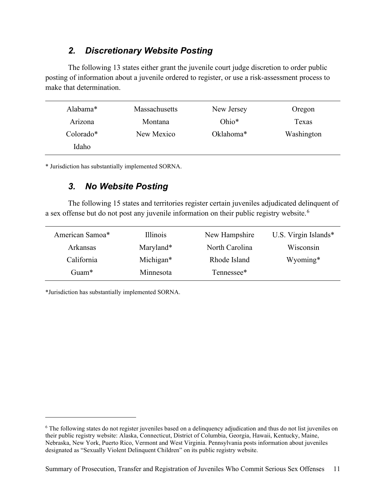#### *2. Discretionary Website Posting*

<span id="page-13-0"></span>The following 13 states either grant the juvenile court judge discretion to order public posting of information about a juvenile ordered to register, or use a risk-assessment process to make that determination.

| Alabama*    | Massachusetts | New Jersey | Oregon     |
|-------------|---------------|------------|------------|
| Arizona     | Montana       | Ohio $*$   | Texas      |
| $Colorado*$ | New Mexico    | Oklahoma*  | Washington |
| Idaho       |               |            |            |

<span id="page-13-1"></span>\* Jurisdiction has substantially implemented SORNA.

#### *3. No Website Posting*

The following 15 states and territories register certain juveniles adjudicated delinquent of a sex offense but do not post any juvenile information on their public registry website.<sup>[6](#page-13-2)</sup>

| American Samoa* | Illinois  | New Hampshire  | U.S. Virgin Islands* |
|-----------------|-----------|----------------|----------------------|
| Arkansas        | Maryland* | North Carolina | Wisconsin            |
| California      | Michigan* | Rhode Island   | Wyoming*             |
| Guam $*$        | Minnesota | Tennessee*     |                      |

\*Jurisdiction has substantially implemented SORNA.

<span id="page-13-2"></span><sup>&</sup>lt;sup>6</sup> The following states do not register juveniles based on a delinquency adjudication and thus do not list juveniles on their public registry website: Alaska, Connecticut, District of Columbia, Georgia, Hawaii, Kentucky, Maine, Nebraska, New York, Puerto Rico, Vermont and West Virginia. Pennsylvania posts information about juveniles designated as "Sexually Violent Delinquent Children" on its public registry website.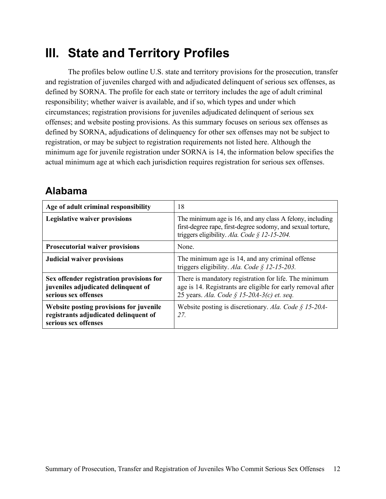# <span id="page-14-0"></span>**III. State and Territory Profiles**

The profiles below outline U.S. state and territory provisions for the prosecution, transfer and registration of juveniles charged with and adjudicated delinquent of serious sex offenses, as defined by SORNA. The profile for each state or territory includes the age of adult criminal responsibility; whether waiver is available, and if so, which types and under which circumstances; registration provisions for juveniles adjudicated delinquent of serious sex offenses; and website posting provisions. As this summary focuses on serious sex offenses as defined by SORNA, adjudications of delinquency for other sex offenses may not be subject to registration, or may be subject to registration requirements not listed here. Although the minimum age for juvenile registration under SORNA is 14, the information below specifies the actual minimum age at which each jurisdiction requires registration for serious sex offenses.

#### <span id="page-14-1"></span>**Alabama**

| Age of adult criminal responsibility                                                                     | 18                                                                                                                                                                      |
|----------------------------------------------------------------------------------------------------------|-------------------------------------------------------------------------------------------------------------------------------------------------------------------------|
| <b>Legislative waiver provisions</b>                                                                     | The minimum age is 16, and any class A felony, including<br>first-degree rape, first-degree sodomy, and sexual torture,<br>triggers eligibility. Ala. Code § 12-15-204. |
| <b>Prosecutorial waiver provisions</b>                                                                   | None.                                                                                                                                                                   |
| <b>Judicial waiver provisions</b>                                                                        | The minimum age is 14, and any criminal offense<br>triggers eligibility. Ala. Code § 12-15-203.                                                                         |
| Sex offender registration provisions for<br>juveniles adjudicated delinquent of<br>serious sex offenses  | There is mandatory registration for life. The minimum<br>age is 14. Registrants are eligible for early removal after<br>25 years. Ala. Code § 15-20A-3(c) et. seq.      |
| Website posting provisions for juvenile<br>registrants adjudicated delinquent of<br>serious sex offenses | Website posting is discretionary. Ala. Code $\frac{1}{2}$ 15-20A-<br>27                                                                                                 |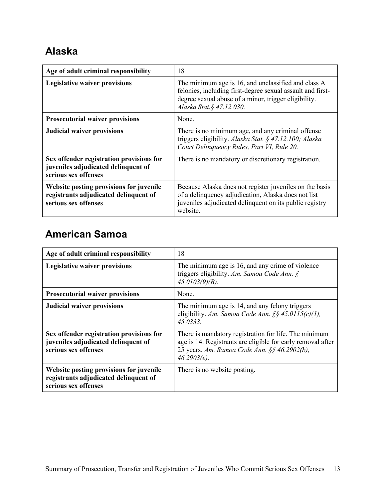### <span id="page-15-0"></span>**Alaska**

| Age of adult criminal responsibility                                                                     | 18                                                                                                                                                                                                     |
|----------------------------------------------------------------------------------------------------------|--------------------------------------------------------------------------------------------------------------------------------------------------------------------------------------------------------|
| <b>Legislative waiver provisions</b>                                                                     | The minimum age is 16, and unclassified and class A<br>felonies, including first-degree sexual assault and first-<br>degree sexual abuse of a minor, trigger eligibility.<br>Alaska Stat. § 47.12.030. |
| <b>Prosecutorial waiver provisions</b>                                                                   | None.                                                                                                                                                                                                  |
| <b>Judicial waiver provisions</b>                                                                        | There is no minimum age, and any criminal offense<br>triggers eligibility. Alaska Stat. § 47.12.100; Alaska<br>Court Delinquency Rules, Part VI, Rule 20.                                              |
| Sex offender registration provisions for<br>juveniles adjudicated delinquent of<br>serious sex offenses  | There is no mandatory or discretionary registration.                                                                                                                                                   |
| Website posting provisions for juvenile<br>registrants adjudicated delinquent of<br>serious sex offenses | Because Alaska does not register juveniles on the basis<br>of a delinquency adjudication, Alaska does not list<br>juveniles adjudicated delinquent on its public registry<br>website.                  |

### <span id="page-15-1"></span>**American Samoa**

| Age of adult criminal responsibility                                                                     | 18                                                                                                                                                                                     |
|----------------------------------------------------------------------------------------------------------|----------------------------------------------------------------------------------------------------------------------------------------------------------------------------------------|
| <b>Legislative waiver provisions</b>                                                                     | The minimum age is 16, and any crime of violence<br>triggers eligibility. Am. Samoa Code Ann. $\S$<br>$45.0103(9)(B)$ .                                                                |
| <b>Prosecutorial waiver provisions</b>                                                                   | None.                                                                                                                                                                                  |
| <b>Judicial waiver provisions</b>                                                                        | The minimum age is 14, and any felony triggers<br>eligibility. Am. Samoa Code Ann. §§ 45.0115(c)(1),<br>45.0333                                                                        |
| Sex offender registration provisions for<br>juveniles adjudicated delinquent of<br>serious sex offenses  | There is mandatory registration for life. The minimum<br>age is 14. Registrants are eligible for early removal after<br>25 years. Am. Samoa Code Ann. §§ 46.2902(b),<br>$46.2903(e)$ . |
| Website posting provisions for juvenile<br>registrants adjudicated delinquent of<br>serious sex offenses | There is no website posting.                                                                                                                                                           |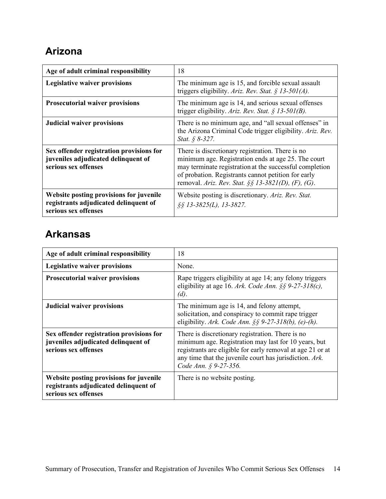### <span id="page-16-0"></span>**Arizona**

| Age of adult criminal responsibility                                                                     | 18                                                                                                                                                                                                                                                                              |
|----------------------------------------------------------------------------------------------------------|---------------------------------------------------------------------------------------------------------------------------------------------------------------------------------------------------------------------------------------------------------------------------------|
| <b>Legislative waiver provisions</b>                                                                     | The minimum age is 15, and forcible sexual assault<br>triggers eligibility. Ariz. Rev. Stat. § 13-501(A).                                                                                                                                                                       |
| <b>Prosecutorial waiver provisions</b>                                                                   | The minimum age is 14, and serious sexual offenses<br>trigger eligibility. Ariz. Rev. Stat. § 13-501(B).                                                                                                                                                                        |
| <b>Judicial waiver provisions</b>                                                                        | There is no minimum age, and "all sexual offenses" in<br>the Arizona Criminal Code trigger eligibility. Ariz. Rev.<br><i>Stat.</i> $\oint 8-327$ .                                                                                                                              |
| Sex offender registration provisions for<br>juveniles adjudicated delinquent of<br>serious sex offenses  | There is discretionary registration. There is no<br>minimum age. Registration ends at age 25. The court<br>may terminate registration at the successful completion<br>of probation. Registrants cannot petition for early<br>removal. Ariz. Rev. Stat. §§ 13-3821(D), (F), (G). |
| Website posting provisions for juvenile<br>registrants adjudicated delinquent of<br>serious sex offenses | Website posting is discretionary. Ariz. Rev. Stat.<br>$\S$ § 13-3825(L), 13-3827.                                                                                                                                                                                               |

### <span id="page-16-1"></span>**Arkansas**

| Age of adult criminal responsibility                                                                     | 18                                                                                                                                                                                                                                                         |
|----------------------------------------------------------------------------------------------------------|------------------------------------------------------------------------------------------------------------------------------------------------------------------------------------------------------------------------------------------------------------|
| <b>Legislative waiver provisions</b>                                                                     | None.                                                                                                                                                                                                                                                      |
| <b>Prosecutorial waiver provisions</b>                                                                   | Rape triggers eligibility at age 14; any felony triggers<br>eligibility at age 16. Ark. Code Ann. $\S$ § 9-27-318(c),<br>(d).                                                                                                                              |
| <b>Judicial waiver provisions</b>                                                                        | The minimum age is 14, and felony attempt,<br>solicitation, and conspiracy to commit rape trigger<br>eligibility. Ark. Code Ann. $\S$ § 9-27-318(b), (e)-(h).                                                                                              |
| Sex offender registration provisions for<br>juveniles adjudicated delinquent of<br>serious sex offenses  | There is discretionary registration. There is no<br>minimum age. Registration may last for 10 years, but<br>registrants are eligible for early removal at age 21 or at<br>any time that the juvenile court has jurisdiction. Ark.<br>Code Ann. § 9-27-356. |
| Website posting provisions for juvenile<br>registrants adjudicated delinquent of<br>serious sex offenses | There is no website posting.                                                                                                                                                                                                                               |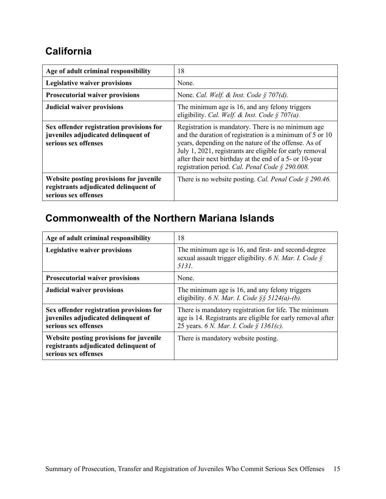#### <span id="page-17-0"></span>**California**

| Age of adult criminal responsibility                                                                     | 18                                                                                                                                                                                                                                                                                                                                               |
|----------------------------------------------------------------------------------------------------------|--------------------------------------------------------------------------------------------------------------------------------------------------------------------------------------------------------------------------------------------------------------------------------------------------------------------------------------------------|
| <b>Legislative waiver provisions</b>                                                                     | None.                                                                                                                                                                                                                                                                                                                                            |
| <b>Prosecutorial waiver provisions</b>                                                                   | None. Cal. Welf. & Inst. Code $\S$ 707(d).                                                                                                                                                                                                                                                                                                       |
| <b>Judicial waiver provisions</b>                                                                        | The minimum age is 16, and any felony triggers<br>eligibility. Cal. Welf. & Inst. Code § 707(a).                                                                                                                                                                                                                                                 |
| Sex offender registration provisions for<br>juveniles adjudicated delinquent of<br>serious sex offenses  | Registration is mandatory. There is no minimum age<br>and the duration of registration is a minimum of 5 or 10<br>years, depending on the nature of the offense. As of<br>July 1, 2021, registrants are eligible for early removal<br>after their next birthday at the end of a 5- or 10-year<br>registration period. Cal. Penal Code § 290.008. |
| Website posting provisions for juvenile<br>registrants adjudicated delinquent of<br>serious sex offenses | There is no website posting. Cal. Penal Code $\S$ 290.46.                                                                                                                                                                                                                                                                                        |

### <span id="page-17-1"></span>**Commonwealth of the Northern Mariana Islands**

| Age of adult criminal responsibility                                                                     | 18                                                                                                                                                             |
|----------------------------------------------------------------------------------------------------------|----------------------------------------------------------------------------------------------------------------------------------------------------------------|
| <b>Legislative waiver provisions</b>                                                                     | The minimum age is 16, and first- and second-degree<br>sexual assault trigger eligibility. 6 N. Mar. I. Code $\S$<br>5131.                                     |
| <b>Prosecutorial waiver provisions</b>                                                                   | None.                                                                                                                                                          |
| <b>Judicial waiver provisions</b>                                                                        | The minimum age is 16, and any felony triggers<br>eligibility. 6 N. Mar. I. Code §§ 5124(a)-(b).                                                               |
| Sex offender registration provisions for<br>juveniles adjudicated delinquent of<br>serious sex offenses  | There is mandatory registration for life. The minimum<br>age is 14. Registrants are eligible for early removal after<br>25 years. 6 N. Mar. I. Code § 1361(c). |
| Website posting provisions for juvenile<br>registrants adjudicated delinquent of<br>serious sex offenses | There is mandatory website posting.                                                                                                                            |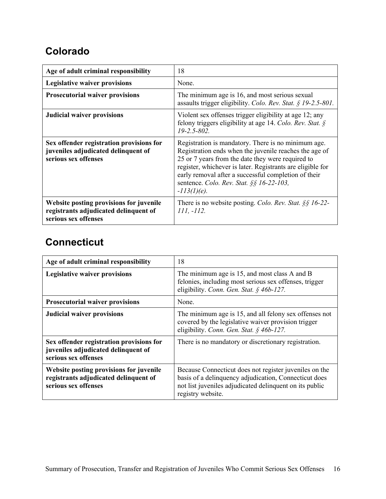#### <span id="page-18-0"></span>**Colorado**

| Age of adult criminal responsibility                                                                     | 18                                                                                                                                                                                                                                                                                                                                                     |
|----------------------------------------------------------------------------------------------------------|--------------------------------------------------------------------------------------------------------------------------------------------------------------------------------------------------------------------------------------------------------------------------------------------------------------------------------------------------------|
| <b>Legislative waiver provisions</b>                                                                     | None.                                                                                                                                                                                                                                                                                                                                                  |
| <b>Prosecutorial waiver provisions</b>                                                                   | The minimum age is 16, and most serious sexual<br>assaults trigger eligibility. Colo. Rev. Stat. § 19-2.5-801.                                                                                                                                                                                                                                         |
| <b>Judicial waiver provisions</b>                                                                        | Violent sex offenses trigger eligibility at age 12; any<br>felony triggers eligibility at age 14. Colo. Rev. Stat. $\S$<br>$19 - 2.5 - 802.$                                                                                                                                                                                                           |
| Sex offender registration provisions for<br>juveniles adjudicated delinquent of<br>serious sex offenses  | Registration is mandatory. There is no minimum age.<br>Registration ends when the juvenile reaches the age of<br>25 or 7 years from the date they were required to<br>register, whichever is later. Registrants are eligible for<br>early removal after a successful completion of their<br>sentence. Colo. Rev. Stat. §§ 16-22-103,<br>$-113(1)(e)$ . |
| Website posting provisions for juvenile<br>registrants adjudicated delinquent of<br>serious sex offenses | There is no website posting. Colo. Rev. Stat. §§ 16-22-<br>111, -112.                                                                                                                                                                                                                                                                                  |

#### <span id="page-18-1"></span>**Connecticut**

| Age of adult criminal responsibility                                                                     | 18                                                                                                                                                                                              |
|----------------------------------------------------------------------------------------------------------|-------------------------------------------------------------------------------------------------------------------------------------------------------------------------------------------------|
| <b>Legislative waiver provisions</b>                                                                     | The minimum age is 15, and most class A and B<br>felonies, including most serious sex offenses, trigger<br>eligibility. Conn. Gen. Stat. § 46b-127.                                             |
| <b>Prosecutorial waiver provisions</b>                                                                   | None.                                                                                                                                                                                           |
| <b>Judicial waiver provisions</b>                                                                        | The minimum age is 15, and all felony sex offenses not<br>covered by the legislative waiver provision trigger<br>eligibility. Conn. Gen. Stat. § 46b-127.                                       |
| Sex offender registration provisions for<br>juveniles adjudicated delinquent of<br>serious sex offenses  | There is no mandatory or discretionary registration.                                                                                                                                            |
| Website posting provisions for juvenile<br>registrants adjudicated delinquent of<br>serious sex offenses | Because Connecticut does not register juveniles on the<br>basis of a delinquency adjudication, Connecticut does<br>not list juveniles adjudicated delinquent on its public<br>registry website. |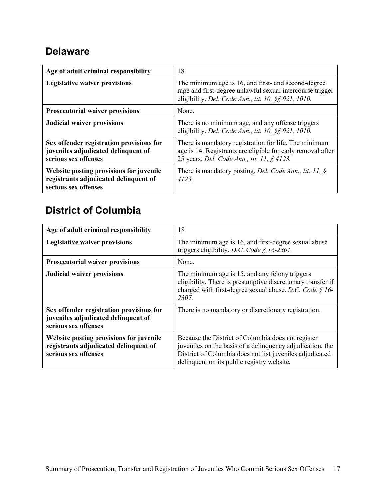#### <span id="page-19-0"></span>**Delaware**

| Age of adult criminal responsibility                                                                     | 18                                                                                                                                                                      |
|----------------------------------------------------------------------------------------------------------|-------------------------------------------------------------------------------------------------------------------------------------------------------------------------|
| <b>Legislative waiver provisions</b>                                                                     | The minimum age is 16, and first- and second-degree<br>rape and first-degree unlawful sexual intercourse trigger<br>eligibility. Del. Code Ann., tit. 10, §§ 921, 1010. |
| <b>Prosecutorial waiver provisions</b>                                                                   | None.                                                                                                                                                                   |
| <b>Judicial waiver provisions</b>                                                                        | There is no minimum age, and any offense triggers<br>eligibility. Del. Code Ann., tit. 10, §§ 921, 1010.                                                                |
| Sex offender registration provisions for<br>juveniles adjudicated delinquent of<br>serious sex offenses  | There is mandatory registration for life. The minimum<br>age is 14. Registrants are eligible for early removal after<br>25 years. Del. Code Ann., tit. 11, § 4123.      |
| Website posting provisions for juvenile<br>registrants adjudicated delinquent of<br>serious sex offenses | There is mandatory posting. Del. Code Ann., tit. 11, $\S$<br>4123                                                                                                       |

### <span id="page-19-1"></span>**District of Columbia**

| Age of adult criminal responsibility                                                                     | 18                                                                                                                                                                                                                        |
|----------------------------------------------------------------------------------------------------------|---------------------------------------------------------------------------------------------------------------------------------------------------------------------------------------------------------------------------|
| <b>Legislative waiver provisions</b>                                                                     | The minimum age is 16, and first-degree sexual abuse<br>triggers eligibility. D.C. Code § 16-2301.                                                                                                                        |
| <b>Prosecutorial waiver provisions</b>                                                                   | None.                                                                                                                                                                                                                     |
| <b>Judicial waiver provisions</b>                                                                        | The minimum age is 15, and any felony triggers<br>eligibility. There is presumptive discretionary transfer if<br>charged with first-degree sexual abuse. D.C. Code § 16-<br>2307.                                         |
| Sex offender registration provisions for<br>juveniles adjudicated delinquent of<br>serious sex offenses  | There is no mandatory or discretionary registration.                                                                                                                                                                      |
| Website posting provisions for juvenile<br>registrants adjudicated delinquent of<br>serious sex offenses | Because the District of Columbia does not register<br>juveniles on the basis of a delinquency adjudication, the<br>District of Columbia does not list juveniles adjudicated<br>delinquent on its public registry website. |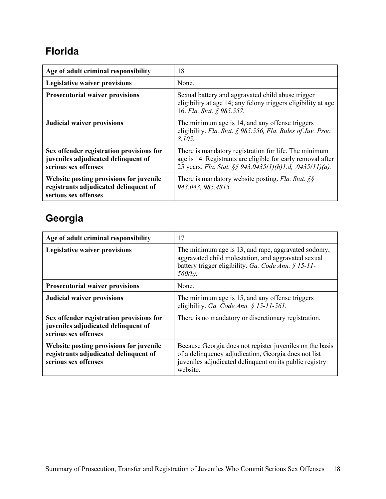### <span id="page-20-0"></span>**Florida**

| Age of adult criminal responsibility                                                                     | 18                                                                                                                                                                               |
|----------------------------------------------------------------------------------------------------------|----------------------------------------------------------------------------------------------------------------------------------------------------------------------------------|
| <b>Legislative waiver provisions</b>                                                                     | None.                                                                                                                                                                            |
| <b>Prosecutorial waiver provisions</b>                                                                   | Sexual battery and aggravated child abuse trigger<br>eligibility at age 14; any felony triggers eligibility at age<br>16. Fla. Stat. § 985.557.                                  |
| <b>Judicial waiver provisions</b>                                                                        | The minimum age is 14, and any offense triggers<br>eligibility. Fla. Stat. § 985.556, Fla. Rules of Juv. Proc.<br>8.105.                                                         |
| Sex offender registration provisions for<br>juveniles adjudicated delinquent of<br>serious sex offenses  | There is mandatory registration for life. The minimum<br>age is 14. Registrants are eligible for early removal after<br>25 years. Fla. Stat. §§ 943.0435(1)(h)1.d, .0435(11)(a). |
| Website posting provisions for juvenile<br>registrants adjudicated delinquent of<br>serious sex offenses | There is mandatory website posting. Fla. Stat. $\S$<br>943.043, 985.4815.                                                                                                        |

# <span id="page-20-1"></span>**Georgia**

| Age of adult criminal responsibility                                                                     | 17                                                                                                                                                                                      |
|----------------------------------------------------------------------------------------------------------|-----------------------------------------------------------------------------------------------------------------------------------------------------------------------------------------|
| <b>Legislative waiver provisions</b>                                                                     | The minimum age is 13, and rape, aggravated sodomy,<br>aggravated child molestation, and aggravated sexual<br>battery trigger eligibility. Ga. Code Ann. § 15-11-<br>$560(b)$ .         |
| <b>Prosecutorial waiver provisions</b>                                                                   | None.                                                                                                                                                                                   |
| <b>Judicial waiver provisions</b>                                                                        | The minimum age is 15, and any offense triggers<br>eligibility. Ga. Code Ann. § 15-11-561.                                                                                              |
| Sex offender registration provisions for<br>juveniles adjudicated delinquent of<br>serious sex offenses  | There is no mandatory or discretionary registration.                                                                                                                                    |
| Website posting provisions for juvenile<br>registrants adjudicated delinquent of<br>serious sex offenses | Because Georgia does not register juveniles on the basis<br>of a delinquency adjudication, Georgia does not list<br>juveniles adjudicated delinquent on its public registry<br>website. |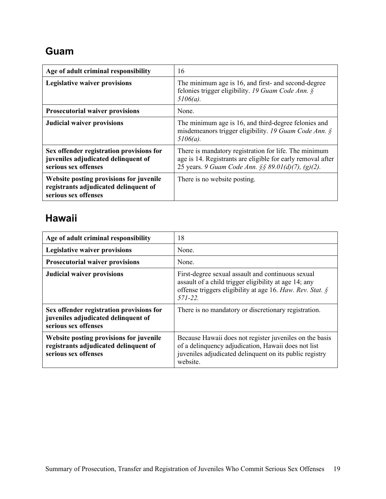### <span id="page-21-0"></span>**Guam**

| Age of adult criminal responsibility                                                                     | 16                                                                                                                                                                         |
|----------------------------------------------------------------------------------------------------------|----------------------------------------------------------------------------------------------------------------------------------------------------------------------------|
| <b>Legislative waiver provisions</b>                                                                     | The minimum age is 16, and first- and second-degree<br>felonies trigger eligibility. 19 Guam Code Ann. $\S$<br>$5106(a)$ .                                                 |
| <b>Prosecutorial waiver provisions</b>                                                                   | None.                                                                                                                                                                      |
| <b>Judicial waiver provisions</b>                                                                        | The minimum age is 16, and third-degree felonies and<br>misdemeanors trigger eligibility. 19 Guam Code Ann. $\S$<br>$5106(a)$ .                                            |
| Sex offender registration provisions for<br>juveniles adjudicated delinquent of<br>serious sex offenses  | There is mandatory registration for life. The minimum<br>age is 14. Registrants are eligible for early removal after<br>25 years. 9 Guam Code Ann. §§ 89.01(d)(7), (g)(2). |
| Website posting provisions for juvenile<br>registrants adjudicated delinquent of<br>serious sex offenses | There is no website posting.                                                                                                                                               |

#### <span id="page-21-1"></span>**Hawaii**

| Age of adult criminal responsibility                                                                     | 18                                                                                                                                                                                    |
|----------------------------------------------------------------------------------------------------------|---------------------------------------------------------------------------------------------------------------------------------------------------------------------------------------|
| <b>Legislative waiver provisions</b>                                                                     | None.                                                                                                                                                                                 |
| <b>Prosecutorial waiver provisions</b>                                                                   | None.                                                                                                                                                                                 |
| <b>Judicial waiver provisions</b>                                                                        | First-degree sexual assault and continuous sexual<br>assault of a child trigger eligibility at age 14; any<br>offense triggers eligibility at age 16. Haw. Rev. Stat. §<br>$571 - 22$ |
| Sex offender registration provisions for<br>juveniles adjudicated delinquent of<br>serious sex offenses  | There is no mandatory or discretionary registration.                                                                                                                                  |
| Website posting provisions for juvenile<br>registrants adjudicated delinquent of<br>serious sex offenses | Because Hawaii does not register juveniles on the basis<br>of a delinquency adjudication, Hawaii does not list<br>juveniles adjudicated delinquent on its public registry<br>website. |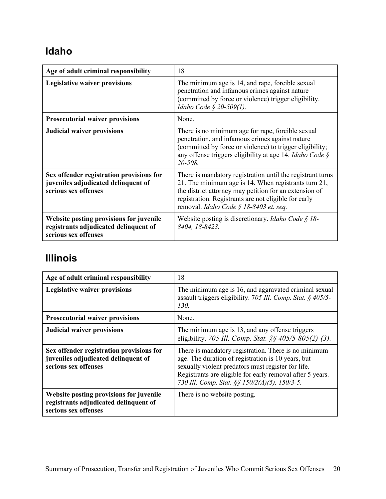### <span id="page-22-0"></span>**Idaho**

| Age of adult criminal responsibility                                                                     | 18                                                                                                                                                                                                                                                                             |
|----------------------------------------------------------------------------------------------------------|--------------------------------------------------------------------------------------------------------------------------------------------------------------------------------------------------------------------------------------------------------------------------------|
| <b>Legislative waiver provisions</b>                                                                     | The minimum age is 14, and rape, forcible sexual<br>penetration and infamous crimes against nature<br>(committed by force or violence) trigger eligibility.<br>Idaho Code § 20-509(1).                                                                                         |
| <b>Prosecutorial waiver provisions</b>                                                                   | None.                                                                                                                                                                                                                                                                          |
| <b>Judicial waiver provisions</b>                                                                        | There is no minimum age for rape, forcible sexual<br>penetration, and infamous crimes against nature<br>(committed by force or violence) to trigger eligibility;<br>any offense triggers eligibility at age 14. Idaho Code $\hat{S}$<br>20-508.                                |
| Sex offender registration provisions for<br>juveniles adjudicated delinquent of<br>serious sex offenses  | There is mandatory registration until the registrant turns<br>21. The minimum age is 14. When registrants turn 21,<br>the district attorney may petition for an extension of<br>registration. Registrants are not eligible for early<br>removal. Idaho Code § 18-8403 et. seq. |
| Website posting provisions for juvenile<br>registrants adjudicated delinquent of<br>serious sex offenses | Website posting is discretionary. <i>Idaho Code</i> $\S$ 18-<br>8404, 18-8423.                                                                                                                                                                                                 |

### <span id="page-22-1"></span>**Illinois**

| Age of adult criminal responsibility                                                                     | 18                                                                                                                                                                                                                                                                             |
|----------------------------------------------------------------------------------------------------------|--------------------------------------------------------------------------------------------------------------------------------------------------------------------------------------------------------------------------------------------------------------------------------|
| <b>Legislative waiver provisions</b>                                                                     | The minimum age is 16, and aggravated criminal sexual<br>assault triggers eligibility. 705 Ill. Comp. Stat. § 405/5-<br>130.                                                                                                                                                   |
| <b>Prosecutorial waiver provisions</b>                                                                   | None.                                                                                                                                                                                                                                                                          |
| <b>Judicial waiver provisions</b>                                                                        | The minimum age is 13, and any offense triggers<br>eligibility. 705 Ill. Comp. Stat. $\S$ § 405/5-805(2)-(3).                                                                                                                                                                  |
| Sex offender registration provisions for<br>juveniles adjudicated delinquent of<br>serious sex offenses  | There is mandatory registration. There is no minimum<br>age. The duration of registration is 10 years, but<br>sexually violent predators must register for life.<br>Registrants are eligible for early removal after 5 years.<br>730 Ill. Comp. Stat. §§ 150/2(A)(5), 150/3-5. |
| Website posting provisions for juvenile<br>registrants adjudicated delinquent of<br>serious sex offenses | There is no website posting.                                                                                                                                                                                                                                                   |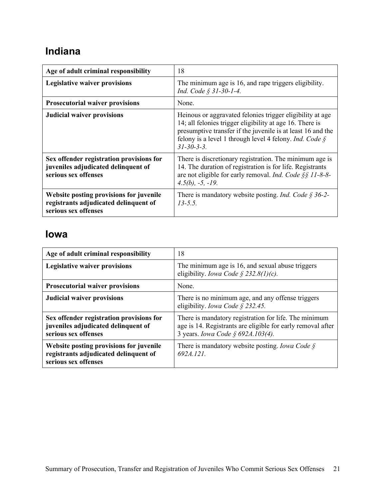### <span id="page-23-0"></span>**Indiana**

| Age of adult criminal responsibility                                                                     | 18                                                                                                                                                                                                                                                                   |
|----------------------------------------------------------------------------------------------------------|----------------------------------------------------------------------------------------------------------------------------------------------------------------------------------------------------------------------------------------------------------------------|
| <b>Legislative waiver provisions</b>                                                                     | The minimum age is 16, and rape triggers eligibility.<br>Ind. Code § 31-30-1-4.                                                                                                                                                                                      |
| <b>Prosecutorial waiver provisions</b>                                                                   | None.                                                                                                                                                                                                                                                                |
| <b>Judicial waiver provisions</b>                                                                        | Heinous or aggravated felonies trigger eligibility at age<br>14; all felonies trigger eligibility at age 16. There is<br>presumptive transfer if the juvenile is at least 16 and the<br>felony is a level 1 through level 4 felony. Ind. Code §<br>$31 - 30 - 3 - 3$ |
| Sex offender registration provisions for<br>juveniles adjudicated delinquent of<br>serious sex offenses  | There is discretionary registration. The minimum age is<br>14. The duration of registration is for life. Registrants<br>are not eligible for early removal. Ind. Code §§ 11-8-8-<br>$4.5(b)$ , $-5$ , $-19$ .                                                        |
| Website posting provisions for juvenile<br>registrants adjudicated delinquent of<br>serious sex offenses | There is mandatory website posting. <i>Ind. Code</i> $\S 36-2$ -<br>$13 - 5.5$                                                                                                                                                                                       |

#### <span id="page-23-1"></span>**Iowa**

| Age of adult criminal responsibility                                                                     | 18                                                                                                                                                        |
|----------------------------------------------------------------------------------------------------------|-----------------------------------------------------------------------------------------------------------------------------------------------------------|
| <b>Legislative waiver provisions</b>                                                                     | The minimum age is 16, and sexual abuse triggers<br>eligibility. <i>Iowa Code</i> § 232.8(1)(c).                                                          |
| <b>Prosecutorial waiver provisions</b>                                                                   | None.                                                                                                                                                     |
| <b>Judicial waiver provisions</b>                                                                        | There is no minimum age, and any offense triggers<br>eligibility. Iowa Code § 232.45.                                                                     |
| Sex offender registration provisions for<br>juveniles adjudicated delinquent of<br>serious sex offenses  | There is mandatory registration for life. The minimum<br>age is 14. Registrants are eligible for early removal after<br>3 years. Iowa Code § 692A.103(4). |
| Website posting provisions for juvenile<br>registrants adjudicated delinquent of<br>serious sex offenses | There is mandatory website posting. <i>Iowa Code</i> $\S$<br>6924.121                                                                                     |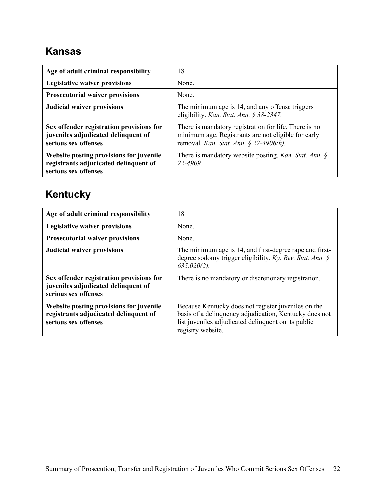### <span id="page-24-0"></span>**Kansas**

| Age of adult criminal responsibility                                                                     | 18                                                                                                                                                     |
|----------------------------------------------------------------------------------------------------------|--------------------------------------------------------------------------------------------------------------------------------------------------------|
| <b>Legislative waiver provisions</b>                                                                     | None.                                                                                                                                                  |
| <b>Prosecutorial waiver provisions</b>                                                                   | None.                                                                                                                                                  |
| <b>Judicial waiver provisions</b>                                                                        | The minimum age is 14, and any offense triggers<br>eligibility. Kan. Stat. Ann. § 38-2347.                                                             |
| Sex offender registration provisions for<br>juveniles adjudicated delinquent of<br>serious sex offenses  | There is mandatory registration for life. There is no<br>minimum age. Registrants are not eligible for early<br>removal. Kan. Stat. Ann. § 22-4906(h). |
| Website posting provisions for juvenile<br>registrants adjudicated delinquent of<br>serious sex offenses | There is mandatory website posting. Kan. Stat. Ann. $\oint$<br>22-4909                                                                                 |

# <span id="page-24-1"></span>**Kentucky**

| Age of adult criminal responsibility                                                                     | 18                                                                                                                                                                                        |
|----------------------------------------------------------------------------------------------------------|-------------------------------------------------------------------------------------------------------------------------------------------------------------------------------------------|
| <b>Legislative waiver provisions</b>                                                                     | None.                                                                                                                                                                                     |
| <b>Prosecutorial waiver provisions</b>                                                                   | None.                                                                                                                                                                                     |
| <b>Judicial waiver provisions</b>                                                                        | The minimum age is 14, and first-degree rape and first-<br>degree sodomy trigger eligibility. Ky. Rev. Stat. Ann. $\oint$<br>$635.020(2)$ .                                               |
| Sex offender registration provisions for<br>juveniles adjudicated delinquent of<br>serious sex offenses  | There is no mandatory or discretionary registration.                                                                                                                                      |
| Website posting provisions for juvenile<br>registrants adjudicated delinquent of<br>serious sex offenses | Because Kentucky does not register juveniles on the<br>basis of a delinquency adjudication, Kentucky does not<br>list juveniles adjudicated delinquent on its public<br>registry website. |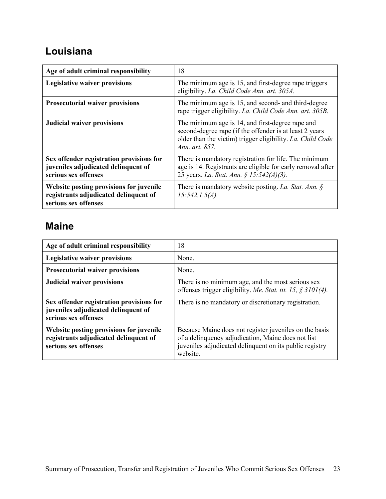### <span id="page-25-0"></span>**Louisiana**

| Age of adult criminal responsibility                                                                     | 18                                                                                                                                                                                          |
|----------------------------------------------------------------------------------------------------------|---------------------------------------------------------------------------------------------------------------------------------------------------------------------------------------------|
| <b>Legislative waiver provisions</b>                                                                     | The minimum age is 15, and first-degree rape triggers<br>eligibility. La. Child Code Ann. art. 305A.                                                                                        |
| <b>Prosecutorial waiver provisions</b>                                                                   | The minimum age is 15, and second- and third-degree<br>rape trigger eligibility. La. Child Code Ann. art. 305B.                                                                             |
| <b>Judicial waiver provisions</b>                                                                        | The minimum age is 14, and first-degree rape and<br>second-degree rape (if the offender is at least 2 years<br>older than the victim) trigger eligibility. La. Child Code<br>Ann. art. 857. |
| Sex offender registration provisions for<br>juveniles adjudicated delinquent of<br>serious sex offenses  | There is mandatory registration for life. The minimum<br>age is 14. Registrants are eligible for early removal after<br>25 years. La. Stat. Ann. § 15:542(A)(3).                            |
| Website posting provisions for juvenile<br>registrants adjudicated delinquent of<br>serious sex offenses | There is mandatory website posting. La. Stat. Ann. $\oint$<br>$15:542.1.5(A)$ .                                                                                                             |

#### <span id="page-25-1"></span>**Maine**

| Age of adult criminal responsibility                                                                     | 18                                                                                                                                                                                  |
|----------------------------------------------------------------------------------------------------------|-------------------------------------------------------------------------------------------------------------------------------------------------------------------------------------|
| <b>Legislative waiver provisions</b>                                                                     | None.                                                                                                                                                                               |
| <b>Prosecutorial waiver provisions</b>                                                                   | None.                                                                                                                                                                               |
| <b>Judicial waiver provisions</b>                                                                        | There is no minimum age, and the most serious sex<br>offenses trigger eligibility. Me. Stat. tit. 15, $\frac{2}{3}$ 3101(4).                                                        |
| Sex offender registration provisions for<br>juveniles adjudicated delinquent of<br>serious sex offenses  | There is no mandatory or discretionary registration.                                                                                                                                |
| Website posting provisions for juvenile<br>registrants adjudicated delinquent of<br>serious sex offenses | Because Maine does not register juveniles on the basis<br>of a delinquency adjudication, Maine does not list<br>juveniles adjudicated delinquent on its public registry<br>website. |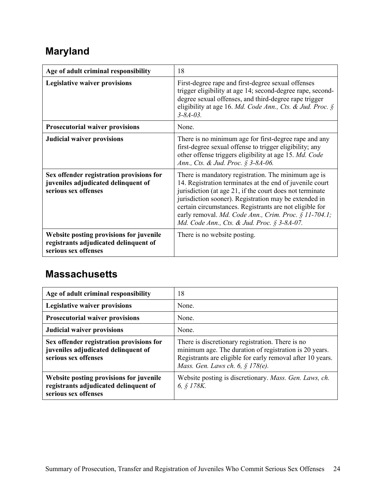# <span id="page-26-0"></span>**Maryland**

| Age of adult criminal responsibility                                                                     | 18                                                                                                                                                                                                                                                                                                                                                                                                      |
|----------------------------------------------------------------------------------------------------------|---------------------------------------------------------------------------------------------------------------------------------------------------------------------------------------------------------------------------------------------------------------------------------------------------------------------------------------------------------------------------------------------------------|
| <b>Legislative waiver provisions</b>                                                                     | First-degree rape and first-degree sexual offenses<br>trigger eligibility at age 14; second-degree rape, second-<br>degree sexual offenses, and third-degree rape trigger<br>eligibility at age 16. Md. Code Ann., Cts. & Jud. Proc. §<br>$3 - 8A - 03$ .                                                                                                                                               |
| <b>Prosecutorial waiver provisions</b>                                                                   | None.                                                                                                                                                                                                                                                                                                                                                                                                   |
| <b>Judicial waiver provisions</b>                                                                        | There is no minimum age for first-degree rape and any<br>first-degree sexual offense to trigger eligibility; any<br>other offense triggers eligibility at age 15. Md. Code<br>Ann., Cts. & Jud. Proc. § 3-8A-06.                                                                                                                                                                                        |
| Sex offender registration provisions for<br>juveniles adjudicated delinquent of<br>serious sex offenses  | There is mandatory registration. The minimum age is<br>14. Registration terminates at the end of juvenile court<br>jurisdiction (at age 21, if the court does not terminate<br>jurisdiction sooner). Registration may be extended in<br>certain circumstances. Registrants are not eligible for<br>early removal. Md. Code Ann., Crim. Proc. § 11-704.1;<br>Md. Code Ann., Cts. & Jud. Proc. § 3-8A-07. |
| Website posting provisions for juvenile<br>registrants adjudicated delinquent of<br>serious sex offenses | There is no website posting.                                                                                                                                                                                                                                                                                                                                                                            |

#### <span id="page-26-1"></span>**Massachusetts**

| Age of adult criminal responsibility                                                                     | 18                                                                                                                                                                                                           |
|----------------------------------------------------------------------------------------------------------|--------------------------------------------------------------------------------------------------------------------------------------------------------------------------------------------------------------|
| Legislative waiver provisions                                                                            | None.                                                                                                                                                                                                        |
| <b>Prosecutorial waiver provisions</b>                                                                   | None.                                                                                                                                                                                                        |
| <b>Judicial waiver provisions</b>                                                                        | None.                                                                                                                                                                                                        |
| Sex offender registration provisions for<br>juveniles adjudicated delinquent of<br>serious sex offenses  | There is discretionary registration. There is no<br>minimum age. The duration of registration is 20 years.<br>Registrants are eligible for early removal after 10 years.<br>Mass. Gen. Laws ch. 6, § 178(e). |
| Website posting provisions for juvenile<br>registrants adjudicated delinquent of<br>serious sex offenses | Website posting is discretionary. Mass. Gen. Laws, ch.<br>6, $$178K.$                                                                                                                                        |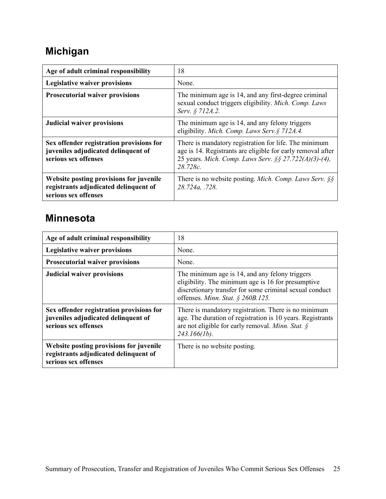# <span id="page-27-0"></span>**Michigan**

| Age of adult criminal responsibility                                                                     | 18                                                                                                                                                                                        |
|----------------------------------------------------------------------------------------------------------|-------------------------------------------------------------------------------------------------------------------------------------------------------------------------------------------|
| <b>Legislative waiver provisions</b>                                                                     | None.                                                                                                                                                                                     |
| <b>Prosecutorial waiver provisions</b>                                                                   | The minimum age is 14, and any first-degree criminal<br>sexual conduct triggers eligibility. Mich. Comp. Laws<br>Serv. § 712A.2.                                                          |
| <b>Judicial waiver provisions</b>                                                                        | The minimum age is 14, and any felony triggers<br>eligibility. Mich. Comp. Laws Serv. § 712A.4.                                                                                           |
| Sex offender registration provisions for<br>juveniles adjudicated delinquent of<br>serious sex offenses  | There is mandatory registration for life. The minimum<br>age is 14. Registrants are eligible for early removal after<br>25 years. Mich. Comp. Laws Serv. §§ 27.722(A)(3)-(4),<br>28.728c. |
| Website posting provisions for juvenile<br>registrants adjudicated delinquent of<br>serious sex offenses | There is no website posting. <i>Mich. Comp. Laws Serv.</i> $\S$<br>28.724a, .728.                                                                                                         |

#### <span id="page-27-1"></span>**Minnesota**

| Age of adult criminal responsibility                                                                     | 18                                                                                                                                                                                                   |
|----------------------------------------------------------------------------------------------------------|------------------------------------------------------------------------------------------------------------------------------------------------------------------------------------------------------|
| <b>Legislative waiver provisions</b>                                                                     | None.                                                                                                                                                                                                |
| <b>Prosecutorial waiver provisions</b>                                                                   | None.                                                                                                                                                                                                |
| <b>Judicial waiver provisions</b>                                                                        | The minimum age is 14, and any felony triggers<br>eligibility. The minimum age is 16 for presumptive<br>discretionary transfer for some criminal sexual conduct<br>offenses. Minn. Stat. § 260B.125. |
| Sex offender registration provisions for<br>juveniles adjudicated delinquent of<br>serious sex offenses  | There is mandatory registration. There is no minimum<br>age. The duration of registration is 10 years. Registrants<br>are not eligible for early removal. Minn. Stat. $\oint$<br>$243.166(1b)$ .     |
| Website posting provisions for juvenile<br>registrants adjudicated delinquent of<br>serious sex offenses | There is no website posting.                                                                                                                                                                         |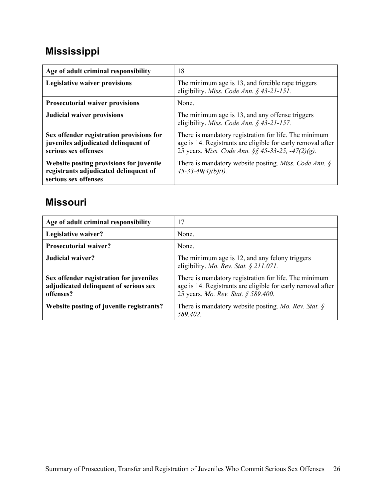# <span id="page-28-0"></span>**Mississippi**

| Age of adult criminal responsibility                                                                     | 18                                                                                                                                                                        |
|----------------------------------------------------------------------------------------------------------|---------------------------------------------------------------------------------------------------------------------------------------------------------------------------|
| <b>Legislative waiver provisions</b>                                                                     | The minimum age is 13, and forcible rape triggers<br>eligibility. Miss. Code Ann. § 43-21-151.                                                                            |
| <b>Prosecutorial waiver provisions</b>                                                                   | None.                                                                                                                                                                     |
| <b>Judicial waiver provisions</b>                                                                        | The minimum age is 13, and any offense triggers<br>eligibility. <i>Miss. Code Ann.</i> $\frac{6}{43}$ -21-157.                                                            |
| Sex offender registration provisions for<br>juveniles adjudicated delinquent of<br>serious sex offenses  | There is mandatory registration for life. The minimum<br>age is 14. Registrants are eligible for early removal after<br>25 years. Miss. Code Ann. §§ 45-33-25, -47(2)(g). |
| Website posting provisions for juvenile<br>registrants adjudicated delinquent of<br>serious sex offenses | There is mandatory website posting. <i>Miss. Code Ann.</i> $\oint$<br>$45 - 33 - 49(4)(b)(i)$ .                                                                           |

#### <span id="page-28-1"></span>**Missouri**

| Age of adult criminal responsibility                                                          | 17                                                                                                                                                          |
|-----------------------------------------------------------------------------------------------|-------------------------------------------------------------------------------------------------------------------------------------------------------------|
| Legislative waiver?                                                                           | None.                                                                                                                                                       |
| <b>Prosecutorial waiver?</b>                                                                  | None.                                                                                                                                                       |
| Judicial waiver?                                                                              | The minimum age is 12, and any felony triggers<br>eligibility. Mo. Rev. Stat. § 211.071.                                                                    |
| Sex offender registration for juveniles<br>adjudicated delinquent of serious sex<br>offenses? | There is mandatory registration for life. The minimum<br>age is 14. Registrants are eligible for early removal after<br>25 years. Mo. Rev. Stat. § 589.400. |
| Website posting of juvenile registrants?                                                      | There is mandatory website posting. Mo. Rev. Stat. $\oint$<br>589.402.                                                                                      |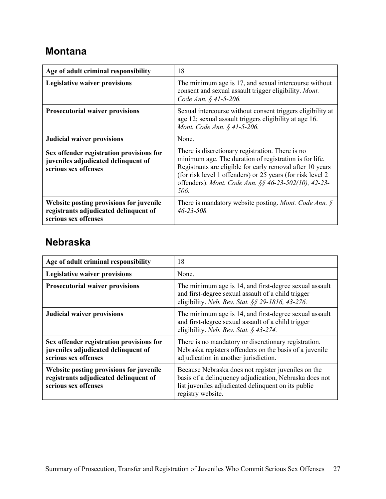### <span id="page-29-0"></span>**Montana**

| Age of adult criminal responsibility                                                                     | 18                                                                                                                                                                                                                                                                                                    |
|----------------------------------------------------------------------------------------------------------|-------------------------------------------------------------------------------------------------------------------------------------------------------------------------------------------------------------------------------------------------------------------------------------------------------|
| <b>Legislative waiver provisions</b>                                                                     | The minimum age is 17, and sexual intercourse without<br>consent and sexual assault trigger eligibility. Mont.<br>Code Ann. § 41-5-206.                                                                                                                                                               |
| <b>Prosecutorial waiver provisions</b>                                                                   | Sexual intercourse without consent triggers eligibility at<br>age 12; sexual assault triggers eligibility at age 16.<br>Mont. Code Ann. § 41-5-206.                                                                                                                                                   |
| <b>Judicial waiver provisions</b>                                                                        | None.                                                                                                                                                                                                                                                                                                 |
| Sex offender registration provisions for<br>juveniles adjudicated delinquent of<br>serious sex offenses  | There is discretionary registration. There is no<br>minimum age. The duration of registration is for life.<br>Registrants are eligible for early removal after 10 years<br>(for risk level 1 offenders) or 25 years (for risk level 2<br>offenders). Mont. Code Ann. §§ 46-23-502(10), 42-23-<br>506. |
| Website posting provisions for juvenile<br>registrants adjudicated delinquent of<br>serious sex offenses | There is mandatory website posting. Mont. Code Ann. $\oint$<br>$46 - 23 - 508$ .                                                                                                                                                                                                                      |

#### <span id="page-29-1"></span>**Nebraska**

| Age of adult criminal responsibility                                                                     | 18                                                                                                                                                                                        |
|----------------------------------------------------------------------------------------------------------|-------------------------------------------------------------------------------------------------------------------------------------------------------------------------------------------|
| <b>Legislative waiver provisions</b>                                                                     | None.                                                                                                                                                                                     |
| <b>Prosecutorial waiver provisions</b>                                                                   | The minimum age is 14, and first-degree sexual assault<br>and first-degree sexual assault of a child trigger<br>eligibility. Neb. Rev. Stat. §§ 29-1816, 43-276.                          |
| <b>Judicial waiver provisions</b>                                                                        | The minimum age is 14, and first-degree sexual assault<br>and first-degree sexual assault of a child trigger<br>eligibility. Neb. Rev. Stat. § 43-274.                                    |
| Sex offender registration provisions for<br>juveniles adjudicated delinquent of<br>serious sex offenses  | There is no mandatory or discretionary registration.<br>Nebraska registers offenders on the basis of a juvenile<br>adjudication in another jurisdiction.                                  |
| Website posting provisions for juvenile<br>registrants adjudicated delinquent of<br>serious sex offenses | Because Nebraska does not register juveniles on the<br>basis of a delinquency adjudication, Nebraska does not<br>list juveniles adjudicated delinquent on its public<br>registry website. |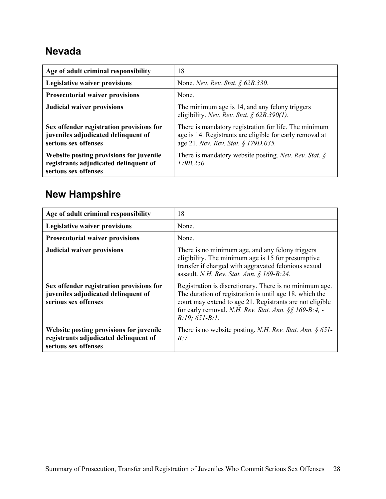#### <span id="page-30-0"></span>**Nevada**

| Age of adult criminal responsibility                                                                     | 18                                                                                                                                                       |
|----------------------------------------------------------------------------------------------------------|----------------------------------------------------------------------------------------------------------------------------------------------------------|
| <b>Legislative waiver provisions</b>                                                                     | None. Nev. Rev. Stat. $\S$ 62B.330.                                                                                                                      |
| <b>Prosecutorial waiver provisions</b>                                                                   | None.                                                                                                                                                    |
| <b>Judicial waiver provisions</b>                                                                        | The minimum age is 14, and any felony triggers<br>eligibility. Nev. Rev. Stat. § $62B.390(1)$ .                                                          |
| Sex offender registration provisions for<br>juveniles adjudicated delinquent of<br>serious sex offenses  | There is mandatory registration for life. The minimum<br>age is 14. Registrants are eligible for early removal at<br>age 21. Nev. Rev. Stat. § 179D.035. |
| Website posting provisions for juvenile<br>registrants adjudicated delinquent of<br>serious sex offenses | There is mandatory website posting. Nev. Rev. Stat. $\oint$<br>179B.250                                                                                  |

# <span id="page-30-1"></span>**New Hampshire**

| Age of adult criminal responsibility                                                                     | 18                                                                                                                                                                                                                                                              |
|----------------------------------------------------------------------------------------------------------|-----------------------------------------------------------------------------------------------------------------------------------------------------------------------------------------------------------------------------------------------------------------|
| <b>Legislative waiver provisions</b>                                                                     | None.                                                                                                                                                                                                                                                           |
| <b>Prosecutorial waiver provisions</b>                                                                   | None.                                                                                                                                                                                                                                                           |
| <b>Judicial waiver provisions</b>                                                                        | There is no minimum age, and any felony triggers<br>eligibility. The minimum age is 15 for presumptive<br>transfer if charged with aggravated felonious sexual<br>assault. N.H. Rev. Stat. Ann. § 169-B:24.                                                     |
| Sex offender registration provisions for<br>juveniles adjudicated delinquent of<br>serious sex offenses  | Registration is discretionary. There is no minimum age.<br>The duration of registration is until age 18, which the<br>court may extend to age 21. Registrants are not eligible<br>for early removal. N.H. Rev. Stat. Ann. $\S$ § 169-B:4, -<br>$B:19; 651-B:1.$ |
| Website posting provisions for juvenile<br>registrants adjudicated delinquent of<br>serious sex offenses | There is no website posting. N.H. Rev. Stat. Ann. $\S 651$ -<br>R:7                                                                                                                                                                                             |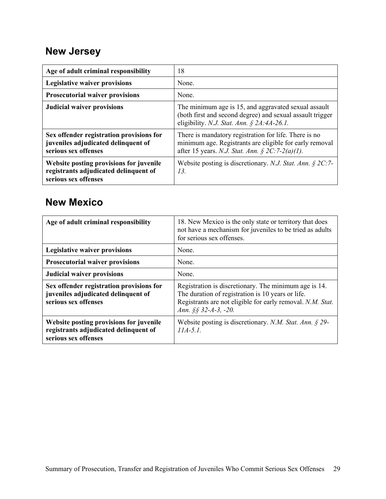### <span id="page-31-0"></span>**New Jersey**

| Age of adult criminal responsibility                                                                     | 18                                                                                                                                                                  |
|----------------------------------------------------------------------------------------------------------|---------------------------------------------------------------------------------------------------------------------------------------------------------------------|
| <b>Legislative waiver provisions</b>                                                                     | None.                                                                                                                                                               |
| <b>Prosecutorial waiver provisions</b>                                                                   | None.                                                                                                                                                               |
| <b>Judicial waiver provisions</b>                                                                        | The minimum age is 15, and aggravated sexual assault<br>(both first and second degree) and sexual assault trigger<br>eligibility. N.J. Stat. Ann. § 2A:4A-26.1.     |
| Sex offender registration provisions for<br>juveniles adjudicated delinquent of<br>serious sex offenses  | There is mandatory registration for life. There is no<br>minimum age. Registrants are eligible for early removal<br>after 15 years. N.J. Stat. Ann. § 2C:7-2(a)(1). |
| Website posting provisions for juvenile<br>registrants adjudicated delinquent of<br>serious sex offenses | Website posting is discretionary. N.J. Stat. Ann. $\S 2C$ : 7-<br>13.                                                                                               |

#### <span id="page-31-1"></span>**New Mexico**

| Age of adult criminal responsibility                                                                     | 18. New Mexico is the only state or territory that does<br>not have a mechanism for juveniles to be tried as adults<br>for serious sex offenses.                                                 |
|----------------------------------------------------------------------------------------------------------|--------------------------------------------------------------------------------------------------------------------------------------------------------------------------------------------------|
| <b>Legislative waiver provisions</b>                                                                     | None.                                                                                                                                                                                            |
| <b>Prosecutorial waiver provisions</b>                                                                   | None.                                                                                                                                                                                            |
| <b>Judicial waiver provisions</b>                                                                        | None.                                                                                                                                                                                            |
| Sex offender registration provisions for<br>juveniles adjudicated delinquent of<br>serious sex offenses  | Registration is discretionary. The minimum age is 14.<br>The duration of registration is 10 years or life.<br>Registrants are not eligible for early removal. N.M. Stat.<br>Ann. §§ 32-A-3, -20. |
| Website posting provisions for juvenile<br>registrants adjudicated delinquent of<br>serious sex offenses | Website posting is discretionary. N.M. Stat. Ann. $\S$ 29-<br>$11A-5.1$ .                                                                                                                        |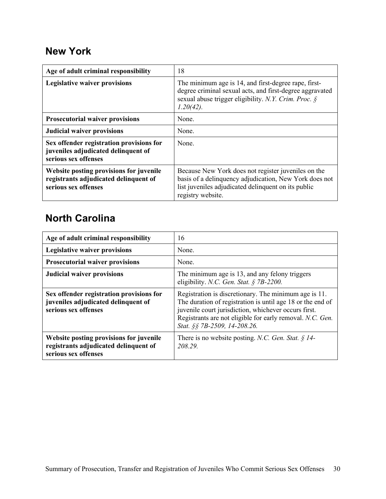#### <span id="page-32-0"></span>**New York**

| Age of adult criminal responsibility                                                                     | 18                                                                                                                                                                                        |
|----------------------------------------------------------------------------------------------------------|-------------------------------------------------------------------------------------------------------------------------------------------------------------------------------------------|
| <b>Legislative waiver provisions</b>                                                                     | The minimum age is 14, and first-degree rape, first-<br>degree criminal sexual acts, and first-degree aggravated<br>sexual abuse trigger eligibility. N.Y. Crim. Proc. §<br>$1.20(42)$ .  |
| <b>Prosecutorial waiver provisions</b>                                                                   | None.                                                                                                                                                                                     |
| <b>Judicial waiver provisions</b>                                                                        | None.                                                                                                                                                                                     |
| Sex offender registration provisions for<br>juveniles adjudicated delinquent of<br>serious sex offenses  | None.                                                                                                                                                                                     |
| Website posting provisions for juvenile<br>registrants adjudicated delinquent of<br>serious sex offenses | Because New York does not register juveniles on the<br>basis of a delinquency adjudication, New York does not<br>list juveniles adjudicated delinquent on its public<br>registry website. |

### <span id="page-32-1"></span>**North Carolina**

| Age of adult criminal responsibility                                                                     | 16                                                                                                                                                                                                                                                                       |
|----------------------------------------------------------------------------------------------------------|--------------------------------------------------------------------------------------------------------------------------------------------------------------------------------------------------------------------------------------------------------------------------|
| <b>Legislative waiver provisions</b>                                                                     | None.                                                                                                                                                                                                                                                                    |
| <b>Prosecutorial waiver provisions</b>                                                                   | None.                                                                                                                                                                                                                                                                    |
| <b>Judicial waiver provisions</b>                                                                        | The minimum age is 13, and any felony triggers<br>eligibility. N.C. Gen. Stat. § 7B-2200.                                                                                                                                                                                |
| Sex offender registration provisions for<br>juveniles adjudicated delinquent of<br>serious sex offenses  | Registration is discretionary. The minimum age is 11.<br>The duration of registration is until age 18 or the end of<br>juvenile court jurisdiction, whichever occurs first.<br>Registrants are not eligible for early removal. N.C. Gen.<br>Stat. §§ 7B-2509, 14-208.26. |
| Website posting provisions for juvenile<br>registrants adjudicated delinquent of<br>serious sex offenses | There is no website posting. N.C. Gen. Stat. $\S$ 14-<br>208.29.                                                                                                                                                                                                         |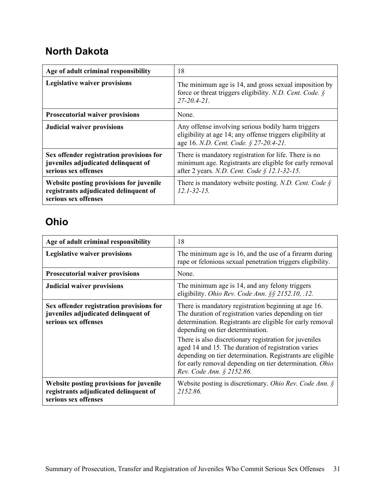#### <span id="page-33-0"></span>**North Dakota**

| Age of adult criminal responsibility                                                                     | 18                                                                                                                                                               |
|----------------------------------------------------------------------------------------------------------|------------------------------------------------------------------------------------------------------------------------------------------------------------------|
| <b>Legislative waiver provisions</b>                                                                     | The minimum age is 14, and gross sexual imposition by<br>force or threat triggers eligibility. N.D. Cent. Code. $\S$<br>$27 - 20.4 - 21.$                        |
| <b>Prosecutorial waiver provisions</b>                                                                   | None.                                                                                                                                                            |
| <b>Judicial waiver provisions</b>                                                                        | Any offense involving serious bodily harm triggers<br>eligibility at age 14; any offense triggers eligibility at<br>age 16. N.D. Cent. Code. § 27-20.4-21.       |
| Sex offender registration provisions for<br>juveniles adjudicated delinquent of<br>serious sex offenses  | There is mandatory registration for life. There is no<br>minimum age. Registrants are eligible for early removal<br>after 2 years. N.D. Cent. Code § 12.1-32-15. |
| Website posting provisions for juvenile<br>registrants adjudicated delinquent of<br>serious sex offenses | There is mandatory website posting. N.D. Cent. Code $\S$<br>$12.1 - 32 - 15.$                                                                                    |

### <span id="page-33-1"></span>**Ohio**

<span id="page-33-2"></span>

| Age of adult criminal responsibility                                                                     | 18                                                                                                                                                                                                                                                                                                                                                                                                                                                                                   |
|----------------------------------------------------------------------------------------------------------|--------------------------------------------------------------------------------------------------------------------------------------------------------------------------------------------------------------------------------------------------------------------------------------------------------------------------------------------------------------------------------------------------------------------------------------------------------------------------------------|
| <b>Legislative waiver provisions</b>                                                                     | The minimum age is 16, and the use of a firearm during<br>rape or felonious sexual penetration triggers eligibility.                                                                                                                                                                                                                                                                                                                                                                 |
| <b>Prosecutorial waiver provisions</b>                                                                   | None.                                                                                                                                                                                                                                                                                                                                                                                                                                                                                |
| <b>Judicial waiver provisions</b>                                                                        | The minimum age is 14, and any felony triggers<br>eligibility. Ohio Rev. Code Ann. §§ 2152.10, .12.                                                                                                                                                                                                                                                                                                                                                                                  |
| Sex offender registration provisions for<br>juveniles adjudicated delinquent of<br>serious sex offenses  | There is mandatory registration beginning at age 16.<br>The duration of registration varies depending on tier<br>determination. Registrants are eligible for early removal<br>depending on tier determination.<br>There is also discretionary registration for juveniles<br>aged 14 and 15. The duration of registration varies<br>depending on tier determination. Registrants are eligible<br>for early removal depending on tier determination. Ohio<br>Rev. Code Ann. § 2152.86. |
| Website posting provisions for juvenile<br>registrants adjudicated delinquent of<br>serious sex offenses | Website posting is discretionary. Ohio Rev. Code Ann. $\S$<br>2152.86.                                                                                                                                                                                                                                                                                                                                                                                                               |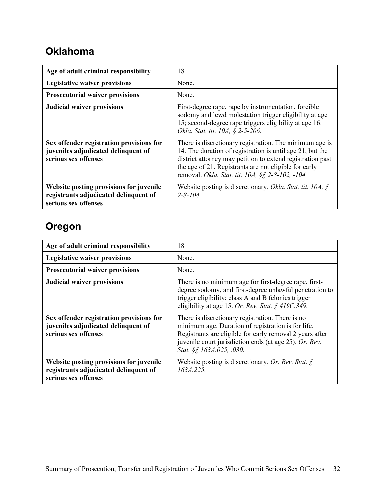#### **Oklahoma**

| Age of adult criminal responsibility                                                                     | 18                                                                                                                                                                                                                                                                                              |
|----------------------------------------------------------------------------------------------------------|-------------------------------------------------------------------------------------------------------------------------------------------------------------------------------------------------------------------------------------------------------------------------------------------------|
| <b>Legislative waiver provisions</b>                                                                     | None.                                                                                                                                                                                                                                                                                           |
| <b>Prosecutorial waiver provisions</b>                                                                   | None.                                                                                                                                                                                                                                                                                           |
| <b>Judicial waiver provisions</b>                                                                        | First-degree rape, rape by instrumentation, forcible<br>sodomy and lewd molestation trigger eligibility at age<br>15; second-degree rape triggers eligibility at age 16.<br>Okla. Stat. tit. 10A, § 2-5-206.                                                                                    |
| Sex offender registration provisions for<br>juveniles adjudicated delinquent of<br>serious sex offenses  | There is discretionary registration. The minimum age is<br>14. The duration of registration is until age 21, but the<br>district attorney may petition to extend registration past<br>the age of 21. Registrants are not eligible for early<br>removal. Okla. Stat. tit. 10A, §§ 2-8-102, -104. |
| Website posting provisions for juvenile<br>registrants adjudicated delinquent of<br>serious sex offenses | Website posting is discretionary. Okla. Stat. tit. 10A, $\oint$<br>$2 - 8 - 104$ .                                                                                                                                                                                                              |

### <span id="page-34-0"></span>**Oregon**

| Age of adult criminal responsibility                                                                     | 18                                                                                                                                                                                                                                                       |
|----------------------------------------------------------------------------------------------------------|----------------------------------------------------------------------------------------------------------------------------------------------------------------------------------------------------------------------------------------------------------|
| <b>Legislative waiver provisions</b>                                                                     | None.                                                                                                                                                                                                                                                    |
| <b>Prosecutorial waiver provisions</b>                                                                   | None.                                                                                                                                                                                                                                                    |
| <b>Judicial waiver provisions</b>                                                                        | There is no minimum age for first-degree rape, first-<br>degree sodomy, and first-degree unlawful penetration to<br>trigger eligibility; class A and B felonies trigger<br>eligibility at age 15. Or. Rev. Stat. § 419C.349.                             |
| Sex offender registration provisions for<br>juveniles adjudicated delinquent of<br>serious sex offenses  | There is discretionary registration. There is no<br>minimum age. Duration of registration is for life.<br>Registrants are eligible for early removal 2 years after<br>juvenile court jurisdiction ends (at age 25). Or. Rev.<br>Stat. §§ 163A.025, .030. |
| Website posting provisions for juvenile<br>registrants adjudicated delinquent of<br>serious sex offenses | Website posting is discretionary. Or. Rev. Stat. $\delta$<br>163A.225.                                                                                                                                                                                   |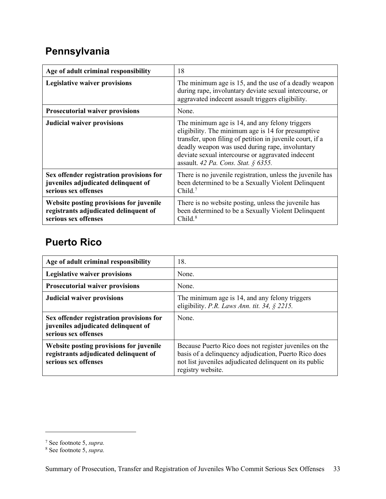# <span id="page-35-0"></span>**Pennsylvania**

| Age of adult criminal responsibility                                                                     | 18                                                                                                                                                                                                                                                                                                               |
|----------------------------------------------------------------------------------------------------------|------------------------------------------------------------------------------------------------------------------------------------------------------------------------------------------------------------------------------------------------------------------------------------------------------------------|
| <b>Legislative waiver provisions</b>                                                                     | The minimum age is 15, and the use of a deadly weapon<br>during rape, involuntary deviate sexual intercourse, or<br>aggravated indecent assault triggers eligibility.                                                                                                                                            |
| <b>Prosecutorial waiver provisions</b>                                                                   | None.                                                                                                                                                                                                                                                                                                            |
| <b>Judicial waiver provisions</b>                                                                        | The minimum age is 14, and any felony triggers<br>eligibility. The minimum age is 14 for presumptive<br>transfer, upon filing of petition in juvenile court, if a<br>deadly weapon was used during rape, involuntary<br>deviate sexual intercourse or aggravated indecent<br>assault. 42 Pa. Cons. Stat. § 6355. |
| Sex offender registration provisions for<br>juveniles adjudicated delinquent of<br>serious sex offenses  | There is no juvenile registration, unless the juvenile has<br>been determined to be a Sexually Violent Delinquent<br>Child. $7$                                                                                                                                                                                  |
| Website posting provisions for juvenile<br>registrants adjudicated delinquent of<br>serious sex offenses | There is no website posting, unless the juvenile has<br>been determined to be a Sexually Violent Delinquent<br>Child. $8$                                                                                                                                                                                        |

#### <span id="page-35-1"></span>**Puerto Rico**

| Age of adult criminal responsibility                                                                     | 18.                                                                                                                                                                                             |
|----------------------------------------------------------------------------------------------------------|-------------------------------------------------------------------------------------------------------------------------------------------------------------------------------------------------|
| <b>Legislative waiver provisions</b>                                                                     | None.                                                                                                                                                                                           |
| <b>Prosecutorial waiver provisions</b>                                                                   | None.                                                                                                                                                                                           |
| <b>Judicial waiver provisions</b>                                                                        | The minimum age is 14, and any felony triggers<br>eligibility. P.R. Laws Ann. tit. 34, $\S$ 2215.                                                                                               |
| Sex offender registration provisions for<br>juveniles adjudicated delinquent of<br>serious sex offenses  | None.                                                                                                                                                                                           |
| Website posting provisions for juvenile<br>registrants adjudicated delinquent of<br>serious sex offenses | Because Puerto Rico does not register juveniles on the<br>basis of a delinquency adjudication, Puerto Rico does<br>not list juveniles adjudicated delinquent on its public<br>registry website. |

<span id="page-35-2"></span><sup>7</sup> See footnote 5, *supra.*

<span id="page-35-3"></span><sup>8</sup> See footnote 5, *supra.*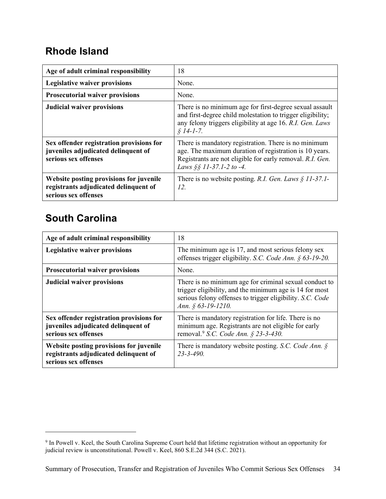#### <span id="page-36-0"></span>**Rhode Island**

| Age of adult criminal responsibility                                                                     | 18                                                                                                                                                                                                      |
|----------------------------------------------------------------------------------------------------------|---------------------------------------------------------------------------------------------------------------------------------------------------------------------------------------------------------|
| <b>Legislative waiver provisions</b>                                                                     | None.                                                                                                                                                                                                   |
| <b>Prosecutorial waiver provisions</b>                                                                   | None.                                                                                                                                                                                                   |
| <b>Judicial waiver provisions</b>                                                                        | There is no minimum age for first-degree sexual assault<br>and first-degree child molestation to trigger eligibility;<br>any felony triggers eligibility at age 16. R.I. Gen. Laws<br>$$14$ -1-7.       |
| Sex offender registration provisions for<br>juveniles adjudicated delinquent of<br>serious sex offenses  | There is mandatory registration. There is no minimum<br>age. The maximum duration of registration is 10 years.<br>Registrants are not eligible for early removal. R.I. Gen.<br>Laws §§ 11-37.1-2 to -4. |
| Website posting provisions for juvenile<br>registrants adjudicated delinquent of<br>serious sex offenses | There is no website posting. R.I. Gen. Laws $\S$ 11-37.1-<br>12.                                                                                                                                        |

### <span id="page-36-1"></span>**South Carolina**

| Age of adult criminal responsibility                                                                     | 18                                                                                                                                                                                                   |
|----------------------------------------------------------------------------------------------------------|------------------------------------------------------------------------------------------------------------------------------------------------------------------------------------------------------|
| <b>Legislative waiver provisions</b>                                                                     | The minimum age is 17, and most serious felony sex<br>offenses trigger eligibility. S.C. Code Ann. § 63-19-20.                                                                                       |
| <b>Prosecutorial waiver provisions</b>                                                                   | None.                                                                                                                                                                                                |
| <b>Judicial waiver provisions</b>                                                                        | There is no minimum age for criminal sexual conduct to<br>trigger eligibility, and the minimum age is 14 for most<br>serious felony offenses to trigger eligibility. S.C. Code<br>Ann. § 63-19-1210. |
| Sex offender registration provisions for<br>juveniles adjudicated delinquent of<br>serious sex offenses  | There is mandatory registration for life. There is no<br>minimum age. Registrants are not eligible for early<br>removal. <sup>9</sup> S.C. Code Ann. § 23-3-430.                                     |
| Website posting provisions for juvenile<br>registrants adjudicated delinquent of<br>serious sex offenses | There is mandatory website posting. S.C. Code Ann. $\S$<br>$23 - 3 - 490.$                                                                                                                           |

<span id="page-36-2"></span> $9$  In Powell v. Keel, the South Carolina Supreme Court held that lifetime registration without an opportunity for judicial review is unconstitutional. Powell v. Keel, 860 S.E.2d 344 (S.C. 2021).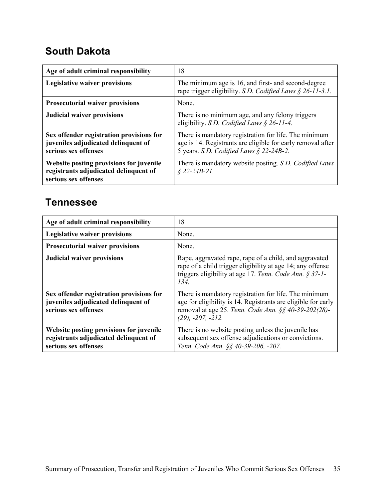#### <span id="page-37-0"></span>**South Dakota**

| Age of adult criminal responsibility                                                                     | 18                                                                                                                                                              |
|----------------------------------------------------------------------------------------------------------|-----------------------------------------------------------------------------------------------------------------------------------------------------------------|
| <b>Legislative waiver provisions</b>                                                                     | The minimum age is 16, and first- and second-degree<br>rape trigger eligibility. S.D. Codified Laws $\S$ 26-11-3.1.                                             |
| <b>Prosecutorial waiver provisions</b>                                                                   | None.                                                                                                                                                           |
| <b>Judicial waiver provisions</b>                                                                        | There is no minimum age, and any felony triggers<br>eligibility. S.D. Codified Laws § 26-11-4.                                                                  |
| Sex offender registration provisions for<br>juveniles adjudicated delinquent of<br>serious sex offenses  | There is mandatory registration for life. The minimum<br>age is 14. Registrants are eligible for early removal after<br>5 years. S.D. Codified Laws § 22-24B-2. |
| Website posting provisions for juvenile<br>registrants adjudicated delinquent of<br>serious sex offenses | There is mandatory website posting. S.D. Codified Laws<br>$$22-24B-21$ .                                                                                        |

#### <span id="page-37-1"></span>**Tennessee**

| Age of adult criminal responsibility                                                                     | 18                                                                                                                                                                                                           |
|----------------------------------------------------------------------------------------------------------|--------------------------------------------------------------------------------------------------------------------------------------------------------------------------------------------------------------|
| <b>Legislative waiver provisions</b>                                                                     | None.                                                                                                                                                                                                        |
| <b>Prosecutorial waiver provisions</b>                                                                   | None.                                                                                                                                                                                                        |
| <b>Judicial waiver provisions</b>                                                                        | Rape, aggravated rape, rape of a child, and aggravated<br>rape of a child trigger eligibility at age 14; any offense<br>triggers eligibility at age 17. Tenn. Code Ann. § 37-1-<br>134.                      |
| Sex offender registration provisions for<br>juveniles adjudicated delinquent of<br>serious sex offenses  | There is mandatory registration for life. The minimum<br>age for eligibility is 14. Registrants are eligible for early<br>removal at age 25. Tenn. Code Ann. §§ 40-39-202(28)-<br>$(29)$ , $-207$ , $-212$ . |
| Website posting provisions for juvenile<br>registrants adjudicated delinquent of<br>serious sex offenses | There is no website posting unless the juvenile has<br>subsequent sex offense adjudications or convictions.<br>Tenn. Code Ann. §§ 40-39-206, -207.                                                           |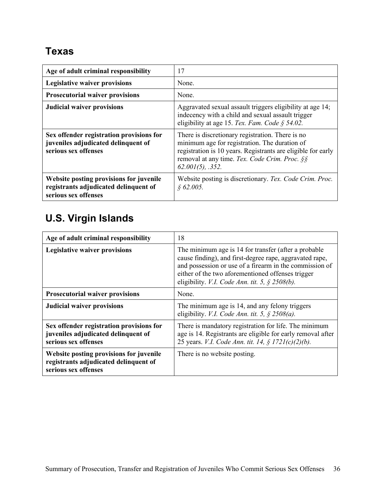### <span id="page-38-0"></span>**Texas**

| Age of adult criminal responsibility                                                                     | 17                                                                                                                                                                                                                                        |
|----------------------------------------------------------------------------------------------------------|-------------------------------------------------------------------------------------------------------------------------------------------------------------------------------------------------------------------------------------------|
| <b>Legislative waiver provisions</b>                                                                     | None.                                                                                                                                                                                                                                     |
| <b>Prosecutorial waiver provisions</b>                                                                   | None.                                                                                                                                                                                                                                     |
| <b>Judicial waiver provisions</b>                                                                        | Aggravated sexual assault triggers eligibility at age 14;<br>indecency with a child and sexual assault trigger<br>eligibility at age 15. Tex. Fam. Code § 54.02.                                                                          |
| Sex offender registration provisions for<br>juveniles adjudicated delinquent of<br>serious sex offenses  | There is discretionary registration. There is no<br>minimum age for registration. The duration of<br>registration is 10 years. Registrants are eligible for early<br>removal at any time. Tex. Code Crim. Proc. §§<br>$62.001(5)$ , .352. |
| Website posting provisions for juvenile<br>registrants adjudicated delinquent of<br>serious sex offenses | Website posting is discretionary. Tex. Code Crim. Proc.<br>\$62.005.                                                                                                                                                                      |

# <span id="page-38-1"></span>**U.S. Virgin Islands**

| Age of adult criminal responsibility                                                                     | 18                                                                                                                                                                                                                                                                                   |
|----------------------------------------------------------------------------------------------------------|--------------------------------------------------------------------------------------------------------------------------------------------------------------------------------------------------------------------------------------------------------------------------------------|
| <b>Legislative waiver provisions</b>                                                                     | The minimum age is 14 for transfer (after a probable<br>cause finding), and first-degree rape, aggravated rape,<br>and possession or use of a firearm in the commission of<br>either of the two aforementioned offenses trigger<br>eligibility. V.I. Code Ann. tit. 5, $\S$ 2508(b). |
| <b>Prosecutorial waiver provisions</b>                                                                   | None.                                                                                                                                                                                                                                                                                |
| <b>Judicial waiver provisions</b>                                                                        | The minimum age is 14, and any felony triggers<br>eligibility. V.I. Code Ann. tit. 5, $\S$ 2508(a).                                                                                                                                                                                  |
| Sex offender registration provisions for<br>juveniles adjudicated delinquent of<br>serious sex offenses  | There is mandatory registration for life. The minimum<br>age is 14. Registrants are eligible for early removal after<br>25 years. V.I. Code Ann. tit. 14, § 1721(c)(2)(b).                                                                                                           |
| Website posting provisions for juvenile<br>registrants adjudicated delinquent of<br>serious sex offenses | There is no website posting.                                                                                                                                                                                                                                                         |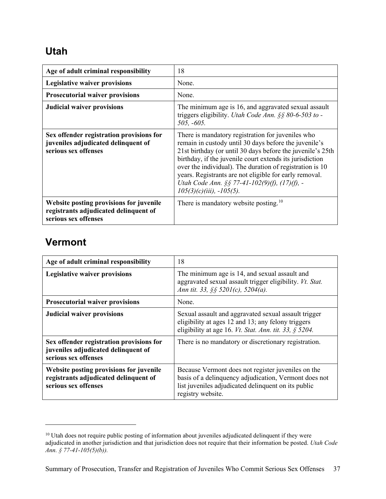#### <span id="page-39-0"></span>**Utah**

| Age of adult criminal responsibility                                                                     | 18                                                                                                                                                                                                                                                                                                                                                                                                                                            |
|----------------------------------------------------------------------------------------------------------|-----------------------------------------------------------------------------------------------------------------------------------------------------------------------------------------------------------------------------------------------------------------------------------------------------------------------------------------------------------------------------------------------------------------------------------------------|
| <b>Legislative waiver provisions</b>                                                                     | None.                                                                                                                                                                                                                                                                                                                                                                                                                                         |
| <b>Prosecutorial waiver provisions</b>                                                                   | None.                                                                                                                                                                                                                                                                                                                                                                                                                                         |
| <b>Judicial waiver provisions</b>                                                                        | The minimum age is 16, and aggravated sexual assault<br>triggers eligibility. Utah Code Ann. $\S$ § 80-6-503 to -<br>$505, -605.$                                                                                                                                                                                                                                                                                                             |
| Sex offender registration provisions for<br>juveniles adjudicated delinquent of<br>serious sex offenses  | There is mandatory registration for juveniles who<br>remain in custody until 30 days before the juvenile's<br>21st birthday (or until 30 days before the juvenile's 25th<br>birthday, if the juvenile court extends its jurisdiction<br>over the individual). The duration of registration is 10<br>years. Registrants are not eligible for early removal.<br>Utah Code Ann. §§ 77-41-102(9)(f), (17)(f), -<br>$105(3)(c)(iii)$ , $-105(5)$ . |
| Website posting provisions for juvenile<br>registrants adjudicated delinquent of<br>serious sex offenses | There is mandatory website posting. <sup>10</sup>                                                                                                                                                                                                                                                                                                                                                                                             |

#### <span id="page-39-1"></span>**Vermont**

| Age of adult criminal responsibility                                                                     | 18                                                                                                                                                                                      |
|----------------------------------------------------------------------------------------------------------|-----------------------------------------------------------------------------------------------------------------------------------------------------------------------------------------|
| <b>Legislative waiver provisions</b>                                                                     | The minimum age is 14, and sexual assault and<br>aggravated sexual assault trigger eligibility. Vt. Stat.<br>Ann tit. 33, §§ 5201(c), 5204(a).                                          |
| <b>Prosecutorial waiver provisions</b>                                                                   | None.                                                                                                                                                                                   |
| <b>Judicial waiver provisions</b>                                                                        | Sexual assault and aggravated sexual assault trigger<br>eligibility at ages 12 and 13; any felony triggers<br>eligibility at age 16. Vt. Stat. Ann. tit. 33, $\S$ 5204.                 |
| Sex offender registration provisions for<br>juveniles adjudicated delinquent of<br>serious sex offenses  | There is no mandatory or discretionary registration.                                                                                                                                    |
| Website posting provisions for juvenile<br>registrants adjudicated delinquent of<br>serious sex offenses | Because Vermont does not register juveniles on the<br>basis of a delinquency adjudication, Vermont does not<br>list juveniles adjudicated delinquent on its public<br>registry website. |

<span id="page-39-2"></span><sup>&</sup>lt;sup>10</sup> Utah does not require public posting of information about juveniles adjudicated delinquent if they were adjudicated in another jurisdiction and that jurisdiction does not require that their information be posted. *Utah Code Ann. § 77-41-105(5)(b)).*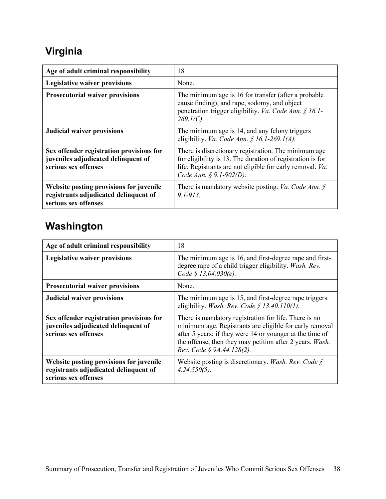# <span id="page-40-0"></span>**Virginia**

| Age of adult criminal responsibility                                                                     | 18                                                                                                                                                                                                         |
|----------------------------------------------------------------------------------------------------------|------------------------------------------------------------------------------------------------------------------------------------------------------------------------------------------------------------|
| <b>Legislative waiver provisions</b>                                                                     | None.                                                                                                                                                                                                      |
| <b>Prosecutorial waiver provisions</b>                                                                   | The minimum age is 16 for transfer (after a probable<br>cause finding), and rape, sodomy, and object<br>penetration trigger eligibility. Va. Code Ann. § 16.1-<br>$269.1(C)$ .                             |
| <b>Judicial waiver provisions</b>                                                                        | The minimum age is 14, and any felony triggers<br>eligibility. Va. Code Ann. § 16.1-269.1(A).                                                                                                              |
| Sex offender registration provisions for<br>juveniles adjudicated delinquent of<br>serious sex offenses  | There is discretionary registration. The minimum age<br>for eligibility is 13. The duration of registration is for<br>life. Registrants are not eligible for early removal. Va.<br>Code Ann. § 9.1-902(D). |
| Website posting provisions for juvenile<br>registrants adjudicated delinquent of<br>serious sex offenses | There is mandatory website posting. <i>Va. Code Ann.</i> $\oint$<br>$9.1 - 913$                                                                                                                            |

# <span id="page-40-1"></span>**Washington**

| Age of adult criminal responsibility                                                                     | 18                                                                                                                                                                                                                                                                    |
|----------------------------------------------------------------------------------------------------------|-----------------------------------------------------------------------------------------------------------------------------------------------------------------------------------------------------------------------------------------------------------------------|
| <b>Legislative waiver provisions</b>                                                                     | The minimum age is 16, and first-degree rape and first-<br>degree rape of a child trigger eligibility. Wash. Rev.<br>Code § 13.04.030(e).                                                                                                                             |
| <b>Prosecutorial waiver provisions</b>                                                                   | None.                                                                                                                                                                                                                                                                 |
| <b>Judicial waiver provisions</b>                                                                        | The minimum age is 15, and first-degree rape triggers<br>eligibility. Wash. Rev. Code § 13.40.110(1).                                                                                                                                                                 |
| Sex offender registration provisions for<br>juveniles adjudicated delinquent of<br>serious sex offenses  | There is mandatory registration for life. There is no<br>minimum age. Registrants are eligible for early removal<br>after 5 years; if they were 14 or younger at the time of<br>the offense, then they may petition after 2 years. Wash.<br>Rev. Code § 9A.44.128(2). |
| Website posting provisions for juvenile<br>registrants adjudicated delinquent of<br>serious sex offenses | Website posting is discretionary. Wash. Rev. Code $\S$<br>$4.24.550(5)$ .                                                                                                                                                                                             |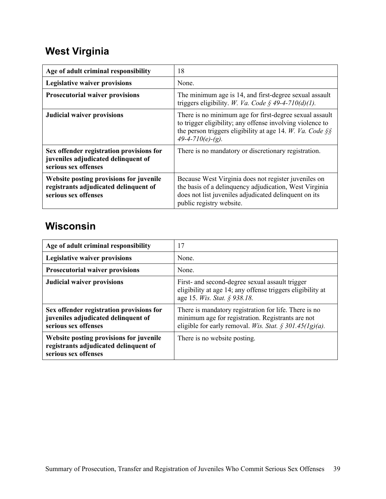# <span id="page-41-0"></span>**West Virginia**

| Age of adult criminal responsibility                                                                     | 18                                                                                                                                                                                                         |
|----------------------------------------------------------------------------------------------------------|------------------------------------------------------------------------------------------------------------------------------------------------------------------------------------------------------------|
| <b>Legislative waiver provisions</b>                                                                     | None.                                                                                                                                                                                                      |
| <b>Prosecutorial waiver provisions</b>                                                                   | The minimum age is 14, and first-degree sexual assault<br>triggers eligibility. W. Va. Code § 49-4-710(d)(1).                                                                                              |
| <b>Judicial waiver provisions</b>                                                                        | There is no minimum age for first-degree sexual assault<br>to trigger eligibility; any offense involving violence to<br>the person triggers eligibility at age 14. W. Va. Code $\S$<br>$49-4-710(e)-(g)$ . |
| Sex offender registration provisions for<br>juveniles adjudicated delinquent of<br>serious sex offenses  | There is no mandatory or discretionary registration.                                                                                                                                                       |
| Website posting provisions for juvenile<br>registrants adjudicated delinquent of<br>serious sex offenses | Because West Virginia does not register juveniles on<br>the basis of a delinquency adjudication, West Virginia<br>does not list juveniles adjudicated delinquent on its<br>public registry website.        |

#### <span id="page-41-1"></span>**Wisconsin**

| Age of adult criminal responsibility                                                                     | 17                                                                                                                                                                    |
|----------------------------------------------------------------------------------------------------------|-----------------------------------------------------------------------------------------------------------------------------------------------------------------------|
| <b>Legislative waiver provisions</b>                                                                     | None.                                                                                                                                                                 |
| <b>Prosecutorial waiver provisions</b>                                                                   | None.                                                                                                                                                                 |
| <b>Judicial waiver provisions</b>                                                                        | First- and second-degree sexual assault trigger<br>eligibility at age 14; any offense triggers eligibility at<br>age 15. <i>Wis. Stat.</i> § 938.18.                  |
| Sex offender registration provisions for<br>juveniles adjudicated delinquent of<br>serious sex offenses  | There is mandatory registration for life. There is no<br>minimum age for registration. Registrants are not<br>eligible for early removal. Wis. Stat. § 301.45(1g)(a). |
| Website posting provisions for juvenile<br>registrants adjudicated delinquent of<br>serious sex offenses | There is no website posting.                                                                                                                                          |